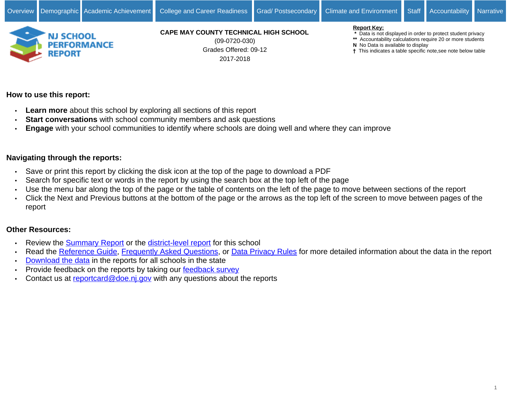

Grades Offered: 09-12 2017-2018 (09-0720-030)

#### **Report Key:**

- **\*** Data is not displayed in order to protect student privacy
- **\*\*** Accountability calculations require 20 or more students
- **N** No Data is available to display
- This indicates a table specific note,see note below table

# **How to use this report:**

- **Learn more** about this school by exploring all sections of this report
- **Start conversations** with school community members and ask questions
- **Engage** with your school communities to identify where schools are doing well and where they can improve

# **Navigating through the reports:**

- Save or print this report by clicking the disk icon at the top of the page to download a PDF
- Search for specific text or words in the report by using the search box at the top left of the page
- Use the menu bar along the top of the page or the table of contents on the left of the page to move between sections of the report
- Click the Next and Previous buttons at the bottom of the page or the arrows as the top left of the screen to move between pages of the report

# **Other Resources:**

- Review the [Summary Report](https://rc.doe.state.nj.us/report.aspx?type=summaryschool&lang=english&county=09&district=0720&school=030&sy=1718&schoolyear=2017-2018) or the [district-level report](https://rc.doe.state.nj.us/report.aspx?type=district&lang=english&county=09&district=0720&school=&sy=1718&schoolyear=2017-2018) for this school
- Read the [Reference Guide,](javascript:void(window.open(window.location.origin%20+%20) [Frequently Asked Questions](javascript:void(window.open(window.location.origin%20+%20), or [Data Privacy Rules](javascript:void(window.open(window.location.origin%20+%20) for more detailed information about the data in the report
- [Download the data](javascript:void(window.open(window.location.origin%20+%20) in the reports for all schools in the state
- Provide feedback on the reports by taking our [feedback survey](javascript:void(window.open()
- Contact us at [reportcard@doe.nj.gov](mailto:reportcard@doe.nj.gov) with any questions about the reports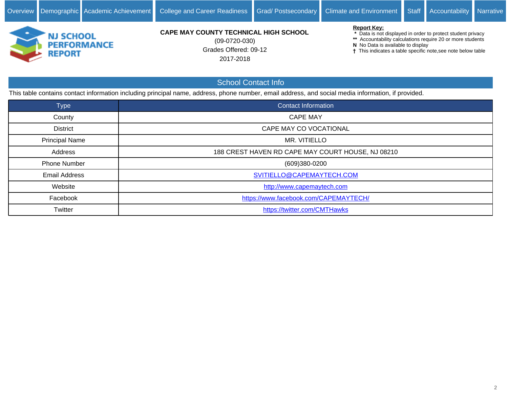

Grades Offered: 09-12 2017-2018 (09-0720-030)

#### **Report Key:**

 **\*** Data is not displayed in order to protect student privacy

- **\*\*** Accountability calculations require 20 or more students
- **N** No Data is available to display
- This indicates a table specific note,see note below table

# School Contact Info

This table contains contact information including principal name, address, phone number, email address, and social media information, if provided.

| <b>Type</b>           | <b>Contact Information</b>                        |
|-----------------------|---------------------------------------------------|
| County                | <b>CAPE MAY</b>                                   |
| <b>District</b>       | CAPE MAY CO VOCATIONAL                            |
| <b>Principal Name</b> | MR. VITIELLO                                      |
| Address               | 188 CREST HAVEN RD CAPE MAY COURT HOUSE, NJ 08210 |
| <b>Phone Number</b>   | (609)380-0200                                     |
| <b>Email Address</b>  | SVITIELLO@CAPEMAYTECH.COM                         |
| Website               | http://www.capemaytech.com                        |
| Facebook              | https://www.facebook.com/CAPEMAYTECH/             |
| Twitter               | https://twitter.com/CMTHawks                      |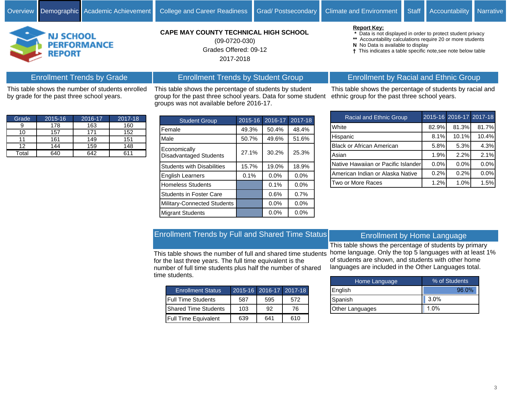**N** No Data is available to display

**Report Key:**



by grade for the past three school years.

# **CAPE MAY COUNTY TECHNICAL HIGH SCHOOL**

Grades Offered: 09-12 2017-2018 (09-0720-030)

This table shows the percentage of students by student group for the past three school years. Data for some student

groups was not available before 2016-17.

Enrollment Trends by Student Group

# Enrollment by Racial and Ethnic Group

 **\*** Data is not displayed in order to protect student privacy **\*\*** Accountability calculations require 20 or more students

This indicates a table specific note,see note below table

This table shows the percentage of students by racial and ethnic group for the past three school years.

| <b>Racial and Ethnic Group</b>      |       | 2015-16 2016-17 2017-18 |       |
|-------------------------------------|-------|-------------------------|-------|
| White                               | 82.9% | 81.3%                   | 81.7% |
| Hispanic                            | 8.1%  | 10.1%                   | 10.4% |
| <b>Black or African American</b>    | 5.8%  | 5.3%                    | 4.3%  |
| Asian                               | 1.9%  | 2.2%                    | 2.1%  |
| Native Hawaiian or Pacific Islander | 0.0%  | 0.0%                    | 0.0%  |
| American Indian or Alaska Native    | 0.2%  | 0.2%                    | 0.0%  |
| Two or More Races                   | 1.2%  | 1.0%                    | 1.5%  |

| Grade | 2015-16 | 2016-17 | 2017-18 |
|-------|---------|---------|---------|
|       | 178     | 163     | 160     |
| 10    | 157     | 171     | 152     |
|       | 161     | 149     | 151     |
| 12    | 144     | 159     | 148     |
| Total | 640     | 642     |         |

This table shows the number of students enrolled

Enrollment Trends by Grade

| <b>Student Group</b>                   | $2015 - 16$ | 2016-17 | 2017-18 |
|----------------------------------------|-------------|---------|---------|
| Female                                 | 49.3%       | 50.4%   | 48.4%   |
| Male                                   | 50.7%       | 49.6%   | 51.6%   |
| Economically<br>Disadvantaged Students | 27.1%       | 30.2%   | 25.3%   |
| <b>Students with Disabilities</b>      | 15.7%       | 19.0%   | 18.9%   |
| English Learners                       | 0.1%        | 0.0%    | 0.0%    |
| <b>Homeless Students</b>               |             | 0.1%    | 0.0%    |
| <b>Students in Foster Care</b>         |             | 0.6%    | 0.7%    |
| Military-Connected Students            |             | 0.0%    | 0.0%    |
| <b>Migrant Students</b>                |             | 0.0%    | 0.0%    |

# Enrollment Trends by Full and Shared Time Status

This table shows the number of full and shared time students for the last three years. The full time equivalent is the number of full time students plus half the number of shared time students.

| <b>Enrollment Status</b>      |     | 2015-16 2016-17 2017-18 |     |
|-------------------------------|-----|-------------------------|-----|
| Full Time Students            | 587 | 595                     | 572 |
| <b>I</b> Shared Time Students | 103 | 92                      | 76  |
| <b>Full Time Equivalent</b>   | 639 | 641                     | 610 |

## Enrollment by Home Language

This table shows the percentage of students by primary home language. Only the top 5 languages with at least 1% of students are shown, and students with other home languages are included in the Other Languages total.

| Home Language          | % of Students |  |  |  |  |  |
|------------------------|---------------|--|--|--|--|--|
| English                | 96.0%         |  |  |  |  |  |
| Spanish                | 3.0%          |  |  |  |  |  |
| <b>Other Languages</b> | 1.0%          |  |  |  |  |  |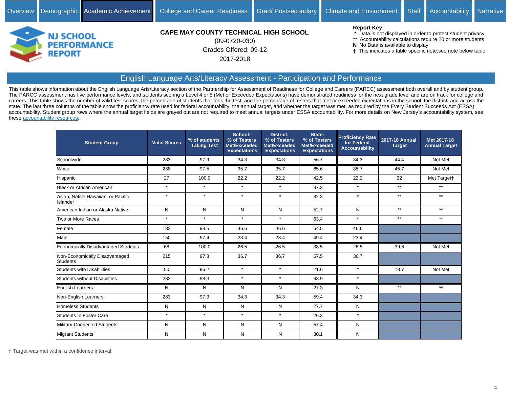

Grades Offered: 09-12 2017-2018 (09-0720-030)

**Report Key:**

 **\*** Data is not displayed in order to protect student privacy

- **\*\*** Accountability calculations require 20 or more students
- **N** No Data is available to display

This indicates a table specific note,see note below table

#### English Language Arts/Literacy Assessment - Participation and Performance

This table shows information about the English Language Arts/Literacy section of the Partnership for Assessment of Readiness for College and Careers (PARCC) assessment both overall and by student group. The PARCC assessment has five performance levels, and students scoring a Level 4 or 5 (Met or Exceeded Expectations) have demonstrated readiness for the next grade level and are on track for college and careers. This table shows the number of valid test scores, the percentage of students that took the test, and the percentage of testers that met or exceeded expectations in the school, the district, and across the state. The last three columns of the table show the proficiency rate used for federal accountability, the annual target, and whether the target was met, as required by the Every Student Succeeds Act (ESSA) accountability. Student group rows where the annual target fields are grayed out are not required to meet annual targets under ESSA accountability. For more details on New Jersey's accountability system, see these [accountability resources.](https://www.state.nj.us/education/title1/accountability/progress/18/)

| <b>Student Group</b>                              | <b>Valid Scores</b> | % of students<br><b>Taking Test</b> | School:<br>% of Testers<br>Met/Exceeded<br><b>Expectations</b> | <b>District:</b><br>% of Testers<br>Met/Exceeded<br><b>Expectations</b> | State:<br>% of Testers<br>Met/Exceeded<br><b>Expectations</b> | <b>Proficiency Rate</b><br>for Federal<br><b>Accountability</b> | 2017-18 Annual<br><b>Target</b> | Met 2017-18<br><b>Annual Target</b> |
|---------------------------------------------------|---------------------|-------------------------------------|----------------------------------------------------------------|-------------------------------------------------------------------------|---------------------------------------------------------------|-----------------------------------------------------------------|---------------------------------|-------------------------------------|
| Schoolwide                                        | 283                 | 97.9                                | 34.3                                                           | 34.3                                                                    | 56.7                                                          | 34.3                                                            | 44.4                            | Not Met                             |
| White                                             | 238                 | 97.5                                | 35.7                                                           | 35.7                                                                    | 65.6                                                          | 35.7                                                            | 45.7                            | Not Met                             |
| Hispanic                                          | 27                  | 100.0                               | 22.2                                                           | 22.2                                                                    | 42.5                                                          | 22.2                                                            | 32                              | Met Target†                         |
| <b>Black or African American</b>                  | $\star$             | $\star$                             | $\star$                                                        | $\star$                                                                 | 37.3                                                          | $\star$                                                         | $\star\star$                    | $**$                                |
| Asian, Native Hawaiian, or Pacific<br>Islander    | $\star$             | $\star$                             | $\star$                                                        | $\star$                                                                 | 82.3                                                          | $\star$                                                         | $**$                            | $***$                               |
| American Indian or Alaska Native                  | N                   | N                                   | N                                                              | N                                                                       | 52.7                                                          | N                                                               | $**$                            | $***$                               |
| Two or More Races                                 | $\star$             | $\star$                             | $\star$                                                        | $\star$                                                                 | 63.4                                                          | $\star$                                                         | $**$                            | $**$                                |
| Female                                            | 133                 | 98.5                                | 46.6                                                           | 46.6                                                                    | 64.5                                                          | 46.6                                                            |                                 |                                     |
| Male                                              | 150                 | 97.4                                | 23.4                                                           | 23.4                                                                    | 49.4                                                          | 23.4                                                            |                                 |                                     |
| Economically Disadvantaged Students               | 68                  | 100.0                               | 26.5                                                           | 26.5                                                                    | 38.5                                                          | 26.5                                                            | 39.6                            | Not Met                             |
| Non-Economically Disadvantaged<br><b>Students</b> | 215                 | 97.3                                | 36.7                                                           | 36.7                                                                    | 67.5                                                          | 36.7                                                            |                                 |                                     |
| <b>Students with Disabilities</b>                 | 50                  | 96.2                                | $\star$                                                        | $\star$                                                                 | 21.6                                                          | $\star$                                                         | 18.7                            | Not Met                             |
| Students without Disabilities                     | 233                 | 98.3                                | $\star$                                                        | $\star$                                                                 | 63.9                                                          | $\star$                                                         |                                 |                                     |
| <b>English Learners</b>                           | N                   | N                                   | N                                                              | ${\sf N}$                                                               | 27.3                                                          | N                                                               | $***$                           | $**$                                |
| Non-English Learners                              | 283                 | 97.9                                | 34.3                                                           | 34.3                                                                    | 59.4                                                          | 34.3                                                            |                                 |                                     |
| <b>Homeless Students</b>                          | Ν                   | N                                   | N                                                              | N                                                                       | 27.7                                                          | N                                                               |                                 |                                     |
| Students In Foster Care                           | $\star$             | $\star$                             | $\star$                                                        | $\star$                                                                 | 26.3                                                          | $\star$                                                         |                                 |                                     |
| Military-Connected Students                       | N                   | N                                   | N                                                              | N                                                                       | 57.4                                                          | N                                                               |                                 |                                     |
| <b>Migrant Students</b>                           | N                   | N                                   | N                                                              | N                                                                       | 30.1                                                          | N                                                               |                                 |                                     |

Target was met within a confidence interval.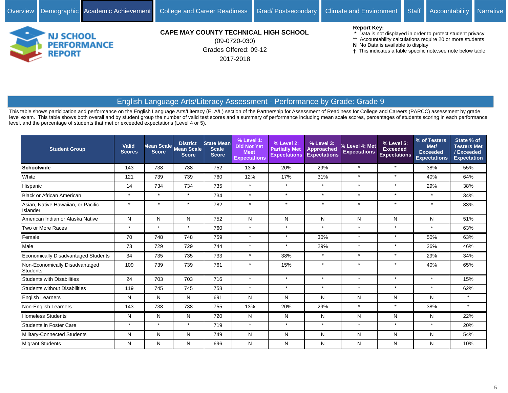

Grades Offered: 09-12 2017-2018 (09-0720-030)

#### **Report Key:**

- **\*** Data is not displayed in order to protect student privacy
- **\*\*** Accountability calculations require 20 or more students
- **N** No Data is available to display
- This indicates a table specific note,see note below table

# English Language Arts/Literacy Assessment - Performance by Grade: Grade 9

This table shows participation and performance on the English Language Arts/Literacy (ELA/L) section of the Partnership for Assessment of Readiness for College and Careers (PARCC) assessment by grade level exam. This table shows both overall and by student group the number of valid test scores and a summary of performance including mean scale scores, percentages of students scoring in each performance level, and the percentage of students that met or exceeded expectations (Level 4 or 5).

| <b>Student Group</b>                              | Valid<br><b>Scores</b> | Mean Scale<br><b>Score</b> | <b>District</b><br><b>Mean Scale</b><br><b>Score</b> | <b>State Mean</b><br><b>Scale</b><br><b>Score</b> | % Level 1:<br><b>Did Not Yet</b><br><b>Meet</b><br><b>Expectations</b> | % Level 2:<br><b>Partially Met</b><br><b>Expectations</b> | % Level 3:<br><b>Approached</b><br><b>Expectations</b> | % Level 4: Met<br><b>Expectations</b> | % Level 5:<br><b>Exceeded</b><br><b>Expectations</b> | % of Testers<br>Met/<br><b>Exceeded</b><br><b>Expectations</b> | State % of<br><b>Testers Met</b><br>/Exceeded<br><b>Expectation</b> |
|---------------------------------------------------|------------------------|----------------------------|------------------------------------------------------|---------------------------------------------------|------------------------------------------------------------------------|-----------------------------------------------------------|--------------------------------------------------------|---------------------------------------|------------------------------------------------------|----------------------------------------------------------------|---------------------------------------------------------------------|
| <b>Schoolwide</b>                                 | 143                    | 738                        | 738                                                  | 752                                               | 13%                                                                    | 20%                                                       | 29%                                                    | $\star$                               | $\star$                                              | 38%                                                            | 55%                                                                 |
| White                                             | 121                    | 739                        | 739                                                  | 760                                               | 12%                                                                    | 17%                                                       | 31%                                                    | $\star$                               | $\star$                                              | 40%                                                            | 64%                                                                 |
| Hispanic                                          | 14                     | 734                        | 734                                                  | 735                                               | $\star$                                                                | $\star$                                                   | $\star$                                                | $\star$                               | $\star$                                              | 29%                                                            | 38%                                                                 |
| <b>Black or African American</b>                  | $\star$                | $\star$                    | $\star$                                              | 734                                               | $\star$                                                                | $\star$                                                   | $\star$                                                | $\star$                               | $\star$                                              | $\star$                                                        | 34%                                                                 |
| Asian, Native Hawaiian, or Pacific<br>Islander    | $\star$                | $\star$                    | $\star$                                              | 782                                               | $\star$                                                                | $\star$                                                   | $\star$                                                | $\star$                               | $\star$                                              | $\star$                                                        | 83%                                                                 |
| American Indian or Alaska Native                  | N                      | N                          | N                                                    | 752                                               | N                                                                      | N                                                         | N                                                      | N                                     | N                                                    | N                                                              | 51%                                                                 |
| Two or More Races                                 | $\star$                | $\star$                    | $\star$                                              | 760                                               | $\star$                                                                | $\star$                                                   | $\star$                                                | $\star$                               | $\star$                                              | $\star$                                                        | 63%                                                                 |
| Female                                            | 70                     | 748                        | 748                                                  | 759                                               | $\star$                                                                | $\star$                                                   | 30%                                                    | $\star$                               | $\star$                                              | 50%                                                            | 63%                                                                 |
| Male                                              | 73                     | 729                        | 729                                                  | 744                                               | $\star$                                                                | $\star$                                                   | 29%                                                    | $\star$                               | $\star$                                              | 26%                                                            | 46%                                                                 |
| <b>Economically Disadvantaged Students</b>        | 34                     | 735                        | 735                                                  | 733                                               | $\star$                                                                | 38%                                                       | $\star$                                                | $\star$                               | $\star$                                              | 29%                                                            | 34%                                                                 |
| Non-Economically Disadvantaged<br><b>Students</b> | 109                    | 739                        | 739                                                  | 761                                               | $\star$                                                                | 15%                                                       | $\star$                                                | $\star$                               | $\star$                                              | 40%                                                            | 65%                                                                 |
| <b>Students with Disabilities</b>                 | 24                     | 703                        | 703                                                  | 716                                               | $\star$                                                                | $\star$                                                   | $\star$                                                | $\star$                               | $\star$                                              | $\star$                                                        | 15%                                                                 |
| <b>Students without Disabilities</b>              | 119                    | 745                        | 745                                                  | 758                                               | $\star$                                                                | $\star$                                                   | $\star$                                                | $\star$                               | $\star$                                              | $\star$                                                        | 62%                                                                 |
| <b>English Learners</b>                           | N                      | N                          | N                                                    | 691                                               | N                                                                      | N                                                         | N                                                      | N                                     | N                                                    | N                                                              | $\star$                                                             |
| Non-English Learners                              | 143                    | 738                        | 738                                                  | 755                                               | 13%                                                                    | 20%                                                       | 29%                                                    | $\star$                               | $\star$                                              | 38%                                                            | $\star$                                                             |
| <b>Homeless Students</b>                          | N                      | N                          | N                                                    | 720                                               | N                                                                      | N                                                         | N                                                      | N                                     | N                                                    | N                                                              | 22%                                                                 |
| <b>Students in Foster Care</b>                    | $\star$                | $\star$                    | $\star$                                              | 719                                               | $\star$                                                                | $\star$                                                   | $\star$                                                | $\star$                               | $\star$                                              | $\star$                                                        | 20%                                                                 |
| Military-Connected Students                       | N                      | N                          | N                                                    | 749                                               | N                                                                      | N                                                         | N                                                      | N                                     | N                                                    | N                                                              | 54%                                                                 |
| Migrant Students                                  | N                      | N                          | N                                                    | 696                                               | N                                                                      | N                                                         | N                                                      | N                                     | N                                                    | N                                                              | 10%                                                                 |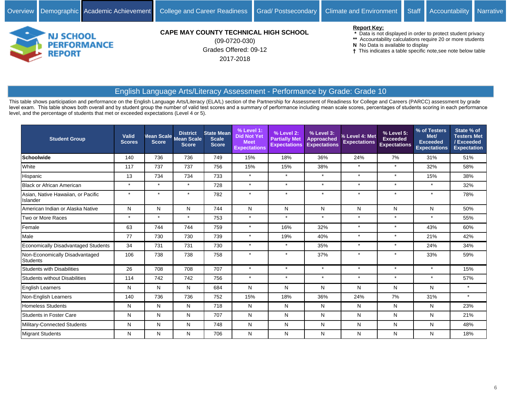

Grades Offered: 09-12 2017-2018 (09-0720-030)

#### **Report Key:**

- **\*** Data is not displayed in order to protect student privacy
- **\*\*** Accountability calculations require 20 or more students
- **N** No Data is available to display
- This indicates a table specific note,see note below table

# English Language Arts/Literacy Assessment - Performance by Grade: Grade 10

This table shows participation and performance on the English Language Arts/Literacy (ELA/L) section of the Partnership for Assessment of Readiness for College and Careers (PARCC) assessment by grade level exam. This table shows both overall and by student group the number of valid test scores and a summary of performance including mean scale scores, percentages of students scoring in each performance level, and the percentage of students that met or exceeded expectations (Level 4 or 5).

| <b>Student Group</b>                              | Valid<br><b>Scores</b> | Mean Scale<br><b>Score</b> | <b>District</b><br><b>Mean Scale</b><br><b>Score</b> | <b>State Mean</b><br><b>Scale</b><br><b>Score</b> | $%$ Level 1:<br><b>Did Not Yet</b><br><b>Meet</b><br><b>Expectations</b> | % Level 2:<br><b>Partially Met</b><br><b>Expectations</b> | % Level 3:<br><b>Approached</b><br><b>Expectations</b> | % Level 4: Met<br><b>Expectations</b> | % Level 5:<br><b>Exceeded</b><br><b>Expectations</b> | % of Testers<br>Met/<br>Exceeded<br><b>Expectations</b> | State % of<br><b>Testers Met</b><br>/Exceeded<br><b>Expectation</b> |
|---------------------------------------------------|------------------------|----------------------------|------------------------------------------------------|---------------------------------------------------|--------------------------------------------------------------------------|-----------------------------------------------------------|--------------------------------------------------------|---------------------------------------|------------------------------------------------------|---------------------------------------------------------|---------------------------------------------------------------------|
| <b>Schoolwide</b>                                 | 140                    | 736                        | 736                                                  | 749                                               | 15%                                                                      | 18%                                                       | 36%                                                    | 24%                                   | 7%                                                   | 31%                                                     | 51%                                                                 |
| White                                             | 117                    | 737                        | 737                                                  | 756                                               | 15%                                                                      | 15%                                                       | 38%                                                    | $\star$                               | $\star$                                              | 32%                                                     | 58%                                                                 |
| Hispanic                                          | 13                     | 734                        | 734                                                  | 733                                               | $\star$                                                                  | $\star$                                                   | $\star$                                                | $\star$                               | $\star$                                              | 15%                                                     | 38%                                                                 |
| <b>Black or African American</b>                  | $\star$                | $\star$                    | $\star$                                              | 728                                               | $\star$                                                                  | $\star$                                                   | $\star$                                                | $\star$                               | $\star$                                              | $\star$                                                 | 32%                                                                 |
| Asian, Native Hawaiian, or Pacific<br>Islander    | $\star$                | $\star$                    | $\star$                                              | 782                                               | $\star$                                                                  | $\star$                                                   | $\star$                                                | $\star$                               | $\star$                                              | $\star$                                                 | 78%                                                                 |
| American Indian or Alaska Native                  | N                      | N                          | N                                                    | 744                                               | N                                                                        | N                                                         | N                                                      | N                                     | N                                                    | N                                                       | 50%                                                                 |
| Two or More Races                                 | $\star$                | $\star$                    | $\star$                                              | 753                                               | $\star$                                                                  | $\star$                                                   | $\star$                                                | $\star$                               | $\star$                                              | $\star$                                                 | 55%                                                                 |
| Female                                            | 63                     | 744                        | 744                                                  | 759                                               | $\star$                                                                  | 16%                                                       | 32%                                                    | $\star$                               | $\star$                                              | 43%                                                     | 60%                                                                 |
| Male                                              | 77                     | 730                        | 730                                                  | 739                                               | $\star$                                                                  | 19%                                                       | 40%                                                    | $\star$                               | $\star$                                              | 21%                                                     | 42%                                                                 |
| <b>Economically Disadvantaged Students</b>        | 34                     | 731                        | 731                                                  | 730                                               | $\star$                                                                  | $\star$                                                   | 35%                                                    | $\star$                               | $\star$                                              | 24%                                                     | 34%                                                                 |
| Non-Economically Disadvantaged<br><b>Students</b> | 106                    | 738                        | 738                                                  | 758                                               | $\star$                                                                  | $\star$                                                   | 37%                                                    | $\star$                               | ÷                                                    | 33%                                                     | 59%                                                                 |
| <b>Students with Disabilities</b>                 | 26                     | 708                        | 708                                                  | 707                                               | $\star$                                                                  | $\star$                                                   | $\star$                                                | $\star$                               | $\star$                                              | $\star$                                                 | 15%                                                                 |
| <b>Students without Disabilities</b>              | 114                    | 742                        | 742                                                  | 756                                               | $\star$                                                                  | $\star$                                                   | $\star$                                                | $\star$                               | $\star$                                              | $\star$                                                 | 57%                                                                 |
| <b>English Learners</b>                           | N                      | N                          | N                                                    | 684                                               | N                                                                        | N                                                         | N                                                      | N                                     | N                                                    | N                                                       | $\star$                                                             |
| Non-English Learners                              | 140                    | 736                        | 736                                                  | 752                                               | 15%                                                                      | 18%                                                       | 36%                                                    | 24%                                   | 7%                                                   | 31%                                                     | $\star$                                                             |
| <b>Homeless Students</b>                          | N                      | N                          | N                                                    | 718                                               | N                                                                        | N                                                         | N                                                      | N                                     | N                                                    | N                                                       | 23%                                                                 |
| <b>Students in Foster Care</b>                    | N                      | N                          | N                                                    | 707                                               | N                                                                        | N                                                         | N                                                      | N                                     | N                                                    | N                                                       | 21%                                                                 |
| Military-Connected Students                       | N                      | N                          | N                                                    | 748                                               | N                                                                        | N                                                         | N                                                      | N                                     | N                                                    | N                                                       | 48%                                                                 |
| Migrant Students                                  | N                      | N                          | N                                                    | 706                                               | N                                                                        | N                                                         | N                                                      | N                                     | N                                                    | Ν                                                       | 18%                                                                 |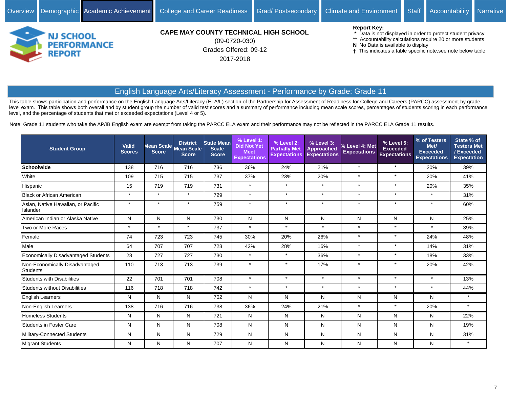

Grades Offered: 09-12 2017-2018 (09-0720-030)

#### **Report Key:**

- **\*** Data is not displayed in order to protect student privacy
- **\*\*** Accountability calculations require 20 or more students
- **N** No Data is available to display
- This indicates a table specific note,see note below table

# English Language Arts/Literacy Assessment - Performance by Grade: Grade 11

This table shows participation and performance on the English Language Arts/Literacy (ELA/L) section of the Partnership for Assessment of Readiness for College and Careers (PARCC) assessment by grade level exam. This table shows both overall and by student group the number of valid test scores and a summary of performance including mean scale scores, percentages of students scoring in each performance level, and the percentage of students that met or exceeded expectations (Level 4 or 5).

Note: Grade 11 students who take the AP/IB English exam are exempt from taking the PARCC ELA exam and their performance may not be reflected in the PARCC ELA Grade 11 results.

| <b>Student Group</b>                              | Valid<br><b>Scores</b> | Mean Scale<br><b>Score</b> | <b>District</b><br>Mean Scale<br><b>Score</b> | <b>State Mean</b><br><b>Scale</b><br><b>Score</b> | $%$ Level 1:<br><b>Did Not Yet</b><br><b>Meet</b><br><b>Expectations</b> | % Level 2:<br><b>Partially Met</b><br><b>Expectations</b> | % Level 3:<br><b>Approached</b><br><b>Expectations</b> | % Level 4: Met<br><b>Expectations</b> | % Level 5:<br><b>Exceeded</b><br><b>Expectations</b> | % of Testers<br>Met/<br><b>Exceeded</b><br><b>Expectations</b> | State % of<br><b>Testers Met</b><br>/ Exceeded<br><b>Expectation</b> |
|---------------------------------------------------|------------------------|----------------------------|-----------------------------------------------|---------------------------------------------------|--------------------------------------------------------------------------|-----------------------------------------------------------|--------------------------------------------------------|---------------------------------------|------------------------------------------------------|----------------------------------------------------------------|----------------------------------------------------------------------|
| <b>Schoolwide</b>                                 | 138                    | 716                        | 716                                           | 736                                               | 36%                                                                      | 24%                                                       | 21%                                                    | $\star$                               | $\star$                                              | 20%                                                            | 39%                                                                  |
| White                                             | 109                    | 715                        | 715                                           | 737                                               | 37%                                                                      | 23%                                                       | 20%                                                    | $\star$                               | $\star$                                              | 20%                                                            | 41%                                                                  |
| Hispanic                                          | 15                     | 719                        | 719                                           | 731                                               | $\star$                                                                  | $\star$                                                   | $\star$                                                | $\star$                               | $\star$                                              | 20%                                                            | 35%                                                                  |
| <b>Black or African American</b>                  | $\star$                | $\star$                    | $\star$                                       | 729                                               | $\star$                                                                  | $\star$                                                   | $\star$                                                | $\star$                               | $\star$                                              | $\star$                                                        | 31%                                                                  |
| Asian, Native Hawaiian, or Pacific<br>Islander    | $\star$                | $\star$                    | $\star$                                       | 759                                               |                                                                          | $\star$                                                   | $\star$                                                | $\star$                               | $\star$                                              | $\star$                                                        | 60%                                                                  |
| American Indian or Alaska Native                  | N                      | N                          | N                                             | 730                                               | N                                                                        | N                                                         | N                                                      | N                                     | N                                                    | N                                                              | 25%                                                                  |
| Two or More Races                                 | $\star$                | $\star$                    | $\star$                                       | 737                                               | $\star$                                                                  | $\star$                                                   | $\star$                                                | $\star$                               | $\star$                                              | $\star$                                                        | 39%                                                                  |
| Female                                            | 74                     | 723                        | 723                                           | 745                                               | 30%                                                                      | 20%                                                       | 26%                                                    | $\star$                               | $\star$                                              | 24%                                                            | 48%                                                                  |
| Male                                              | 64                     | 707                        | 707                                           | 728                                               | 42%                                                                      | 28%                                                       | 16%                                                    | $\star$                               | $\star$                                              | 14%                                                            | 31%                                                                  |
| Economically Disadvantaged Students               | 28                     | 727                        | 727                                           | 730                                               | $\star$                                                                  | $\star$                                                   | 36%                                                    | $\star$                               | $\star$                                              | 18%                                                            | 33%                                                                  |
| Non-Economically Disadvantaged<br><b>Students</b> | 110                    | 713                        | 713                                           | 739                                               | $\star$                                                                  | $\star$                                                   | 17%                                                    | $\star$                               | $\star$                                              | 20%                                                            | 42%                                                                  |
| <b>Students with Disabilities</b>                 | 22                     | 701                        | 701                                           | 708                                               | $\star$                                                                  | $\star$                                                   | $\star$                                                | $\star$                               | $\star$                                              | $\star$                                                        | 13%                                                                  |
| <b>Students without Disabilities</b>              | 116                    | 718                        | 718                                           | 742                                               | $\star$                                                                  | $\star$                                                   | $\star$                                                | $\star$                               | $\star$                                              | $\star$                                                        | 44%                                                                  |
| <b>English Learners</b>                           | N                      | N                          | N                                             | 702                                               | N                                                                        | N                                                         | N                                                      | N                                     | N                                                    | N                                                              | $\star$                                                              |
| Non-English Learners                              | 138                    | 716                        | 716                                           | 738                                               | 36%                                                                      | 24%                                                       | 21%                                                    | $\star$                               | $\star$                                              | 20%                                                            | $\star$                                                              |
| <b>Homeless Students</b>                          | N                      | N                          | N                                             | 721                                               | N                                                                        | N                                                         | N                                                      | N                                     | N                                                    | N                                                              | 22%                                                                  |
| <b>Students in Foster Care</b>                    | N                      | $\mathsf{N}$               | N                                             | 708                                               | N                                                                        | N                                                         | N                                                      | N                                     | N                                                    | N                                                              | 19%                                                                  |
| Military-Connected Students                       | N                      | N                          | N                                             | 729                                               | N                                                                        | N                                                         | N                                                      | N                                     | N                                                    | N                                                              | 31%                                                                  |
| Migrant Students                                  | N                      | N                          | N                                             | 707                                               | N                                                                        | N                                                         | N                                                      | N                                     | N                                                    | N                                                              | $\star$                                                              |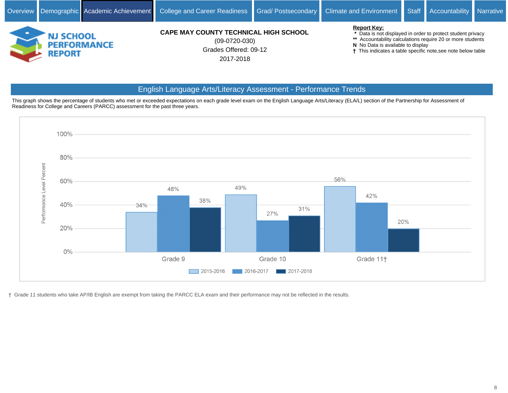

Grades Offered: 09-12 2017-2018 (09-0720-030)

#### **Report Key:**

- **\*** Data is not displayed in order to protect student privacy
- **\*\*** Accountability calculations require 20 or more students
- **N** No Data is available to display
- This indicates a table specific note,see note below table

# English Language Arts/Literacy Assessment - Performance Trends

This graph shows the percentage of students who met or exceeded expectations on each grade level exam on the English Language Arts/Literacy (ELA/L) section of the Partnership for Assessment of Readiness for College and Careers (PARCC) assessment for the past three years.



Grade 11 students who take AP/IB English are exempt from taking the PARCC ELA exam and their performance may not be reflected in the results.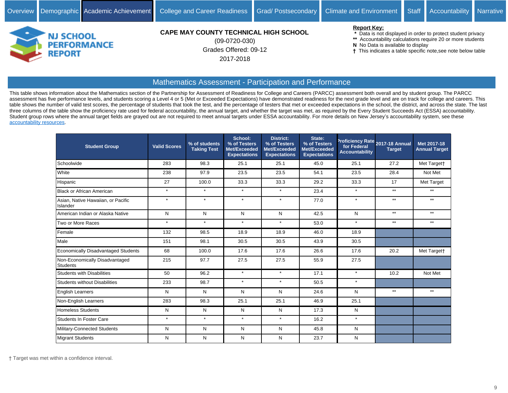

Grades Offered: 09-12 2017-2018 (09-0720-030)

#### **Report Key:**

 **\*** Data is not displayed in order to protect student privacy

- **\*\*** Accountability calculations require 20 or more students
- **N** No Data is available to display
- This indicates a table specific note,see note below table

#### Mathematics Assessment - Participation and Performance

This table shows information about the Mathematics section of the Partnership for Assessment of Readiness for College and Careers (PARCC) assessment both overall and by student group. The PARCC assessment has five performance levels, and students scoring a Level 4 or 5 (Met or Exceeded Expectations) have demonstrated readiness for the next grade level and are on track for college and careers. This table shows the number of valid test scores, the percentage of students that took the test, and the percentage of testers that met or exceeded expectations in the school, the district, and across the state. The last three columns of the table show the proficiency rate used for federal accountability, the annual target, and whether the target was met, as required by the Every Student Succeeds Act (ESSA) accountability. Student group rows where the annual target fields are grayed out are not required to meet annual targets under ESSA accountability. For more details on New Jersey's accountability system, see these [accountability resources.](https://www.state.nj.us/education/title1/accountability/progress/18/)

| <b>Student Group</b>                              | <b>Valid Scores</b> | % of students<br><b>Taking Test</b> | School:<br>% of Testers<br>Met/Exceeded<br><b>Expectations</b> | <b>District:</b><br>% of Testers<br>Met/Exceeded<br><b>Expectations</b> | State:<br>% of Testers<br>Met/Exceeded<br><b>Expectations</b> | for Federal<br><b>Accountability</b> | Proficiency Rate 2017-18 Annual<br><b>Target</b> | Met 2017-18<br><b>Annual Target</b> |
|---------------------------------------------------|---------------------|-------------------------------------|----------------------------------------------------------------|-------------------------------------------------------------------------|---------------------------------------------------------------|--------------------------------------|--------------------------------------------------|-------------------------------------|
| Schoolwide                                        | 283                 | 98.3                                | 25.1                                                           | 25.1                                                                    | 45.0                                                          | 25.1                                 | 27.2                                             | Met Target†                         |
| White                                             | 238                 | 97.9                                | 23.5                                                           | 23.5                                                                    | 54.1                                                          | 23.5                                 | 28.4                                             | Not Met                             |
| Hispanic                                          | 27                  | 100.0                               | 33.3                                                           | 33.3                                                                    | 29.2                                                          | 33.3                                 | 17                                               | Met Target                          |
| <b>Black or African American</b>                  | $\star$             | $\star$                             | $\star$                                                        | $\star$                                                                 | 23.4                                                          | $\star$                              | $***$                                            | $***$                               |
| Asian, Native Hawaiian, or Pacific<br>Islander    | $\star$             | $\star$                             | $\star$                                                        | $\star$                                                                 | 77.0                                                          | $\star$                              | $**$                                             | $***$                               |
| American Indian or Alaska Native                  | N                   | N                                   | N                                                              | N                                                                       | 42.5                                                          | N                                    | $***$                                            | $***$                               |
| Two or More Races                                 | $\star$             | $\star$                             | $\star$                                                        | $\star$                                                                 | 53.0                                                          | $\star$                              | $***$                                            | $***$                               |
| Female                                            | 132                 | 98.5                                | 18.9                                                           | 18.9                                                                    | 46.0                                                          | 18.9                                 |                                                  |                                     |
| Male                                              | 151                 | 98.1                                | 30.5                                                           | 30.5                                                                    | 43.9                                                          | 30.5                                 |                                                  |                                     |
| <b>Economically Disadvantaged Students</b>        | 68                  | 100.0                               | 17.6                                                           | 17.6                                                                    | 26.6                                                          | 17.6                                 | 20.2                                             | Met Targett                         |
| Non-Economically Disadvantaged<br><b>Students</b> | 215                 | 97.7                                | 27.5                                                           | 27.5                                                                    | 55.9                                                          | 27.5                                 |                                                  |                                     |
| <b>Students with Disabilities</b>                 | 50                  | 96.2                                | $\star$                                                        | $\star$                                                                 | 17.1                                                          | $\star$                              | 10.2                                             | Not Met                             |
| <b>Students without Disabilities</b>              | 233                 | 98.7                                | $\star$                                                        | $\star$                                                                 | 50.5                                                          | $\star$                              |                                                  |                                     |
| <b>English Learners</b>                           | N                   | N                                   | N                                                              | N                                                                       | 24.6                                                          | N                                    | $**$                                             | $***$                               |
| Non-English Learners                              | 283                 | 98.3                                | 25.1                                                           | 25.1                                                                    | 46.9                                                          | 25.1                                 |                                                  |                                     |
| Homeless Students                                 | N                   | N                                   | N                                                              | N                                                                       | 17.3                                                          | N                                    |                                                  |                                     |
| <b>Students In Foster Care</b>                    | $\star$             | $\star$                             | $\star$                                                        | $\star$                                                                 | 16.2                                                          | $\star$                              |                                                  |                                     |
| Military-Connected Students                       | N                   | N                                   | ${\sf N}$                                                      | N                                                                       | 45.8                                                          | N                                    |                                                  |                                     |
| <b>Migrant Students</b>                           | N                   | N                                   | N                                                              | N                                                                       | 23.7                                                          | N                                    |                                                  |                                     |

Target was met within a confidence interval.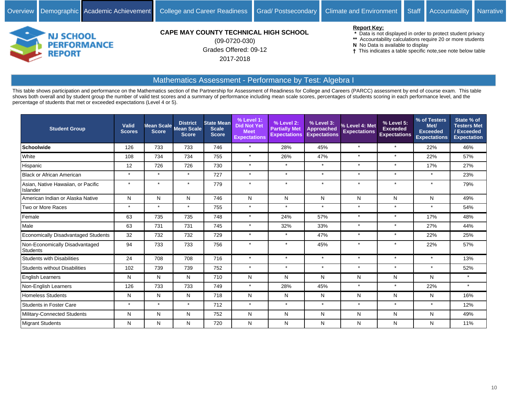

Grades Offered: 09-12 2017-2018 (09-0720-030)

#### **Report Key:**

 **\*** Data is not displayed in order to protect student privacy

- **\*\*** Accountability calculations require 20 or more students
- **N** No Data is available to display
- This indicates a table specific note,see note below table

## Mathematics Assessment - Performance by Test: Algebra I

This table shows participation and performance on the Mathematics section of the Partnership for Assessment of Readiness for College and Careers (PARCC) assessment by end of course exam. This table shows both overall and by student group the number of valid test scores and a summary of performance including mean scale scores, percentages of students scoring in each performance level, and the percentage of students that met or exceeded expectations (Level 4 or 5).

| <b>Student Group</b>                              | <b>Valid</b><br><b>Scores</b> | <b>Score</b> | <b>District</b><br>Mean Scale Mean Scale<br><b>Score</b> | <b>State Mean</b><br><b>Scale</b><br><b>Score</b> | % Level 1:<br><b>Did Not Yet</b><br><b>Meet</b><br><b>Expectations</b> | % Level 2:<br><b>Partially Met</b><br><b>Expectations</b> | % Level 3:<br><b>Approached</b><br><b>Expectations</b> | % Level 4: Met<br><b>Expectations</b> | % Level 5:<br><b>Exceeded</b><br><b>Expectations</b> | % of Testers<br>Met/<br><b>Exceeded</b><br><b>Expectations</b> | State % of<br><b>Testers Met</b><br>/Exceeded<br><b>Expectation</b> |
|---------------------------------------------------|-------------------------------|--------------|----------------------------------------------------------|---------------------------------------------------|------------------------------------------------------------------------|-----------------------------------------------------------|--------------------------------------------------------|---------------------------------------|------------------------------------------------------|----------------------------------------------------------------|---------------------------------------------------------------------|
| <b>Schoolwide</b>                                 | 126                           | 733          | 733                                                      | 746                                               | $\star$                                                                | 28%                                                       | 45%                                                    | $\star$                               | $\star$                                              | 22%                                                            | 46%                                                                 |
| White                                             | 108                           | 734          | 734                                                      | 755                                               | $\star$                                                                | 26%                                                       | 47%                                                    | $\star$                               | $\star$                                              | 22%                                                            | 57%                                                                 |
| Hispanic                                          | 12                            | 726          | 726                                                      | 730                                               | $\star$                                                                | $\star$                                                   | $\star$                                                | $\star$                               | $\star$                                              | 17%                                                            | 27%                                                                 |
| <b>Black or African American</b>                  | $\star$                       | $\star$      | $\star$                                                  | 727                                               | $\star$                                                                | $\star$                                                   | $\star$                                                | $\star$                               | $\star$                                              | $\star$                                                        | 23%                                                                 |
| Asian, Native Hawaiian, or Pacific<br>Islander    | $\star$                       | $\star$      |                                                          | 779                                               | $\star$                                                                | $\star$                                                   | $\star$                                                | $\star$                               | $\star$                                              | $\star$                                                        | 79%                                                                 |
| American Indian or Alaska Native                  | N                             | N            | N                                                        | 746                                               | N                                                                      | N                                                         | N                                                      | N                                     | N                                                    | N                                                              | 49%                                                                 |
| Two or More Races                                 | $\star$                       | $\star$      | $\star$                                                  | 755                                               | $\star$                                                                | $\star$                                                   | $\star$                                                | $\star$                               | $\star$                                              | $\star$                                                        | 54%                                                                 |
| Female                                            | 63                            | 735          | 735                                                      | 748                                               | $\star$                                                                | 24%                                                       | 57%                                                    | $\star$                               | $\star$                                              | 17%                                                            | 48%                                                                 |
| Male                                              | 63                            | 731          | 731                                                      | 745                                               | $\star$                                                                | 32%                                                       | 33%                                                    | $\star$                               | $\star$                                              | 27%                                                            | 44%                                                                 |
| <b>Economically Disadvantaged Students</b>        | 32                            | 732          | 732                                                      | 729                                               | $\star$                                                                | $\star$                                                   | 47%                                                    | $\star$                               | $\star$                                              | 22%                                                            | 25%                                                                 |
| Non-Economically Disadvantaged<br><b>Students</b> | 94                            | 733          | 733                                                      | 756                                               | $\star$                                                                | $\star$                                                   | 45%                                                    | $\star$                               | $\star$                                              | 22%                                                            | 57%                                                                 |
| <b>Students with Disabilities</b>                 | 24                            | 708          | 708                                                      | 716                                               | $\star$                                                                | $\star$                                                   | $\star$                                                | $\star$                               | $\star$                                              | $\star$                                                        | 13%                                                                 |
| <b>Students without Disabilities</b>              | 102                           | 739          | 739                                                      | 752                                               | $\star$                                                                | $\star$                                                   | $\star$                                                | $\star$                               | $\star$                                              | $\star$                                                        | 52%                                                                 |
| <b>English Learners</b>                           | N                             | N            | N                                                        | 710                                               | N                                                                      | N                                                         | N                                                      | Ν                                     | N                                                    | N                                                              | $\star$                                                             |
| Non-English Learners                              | 126                           | 733          | 733                                                      | 749                                               | $\star$                                                                | 28%                                                       | 45%                                                    | $\star$                               | $\star$                                              | 22%                                                            | $\star$                                                             |
| <b>Homeless Students</b>                          | N                             | N            | N                                                        | 718                                               | N                                                                      | N                                                         | N                                                      | N                                     | N                                                    | N                                                              | 16%                                                                 |
| <b>Students in Foster Care</b>                    | $\star$                       | $\star$      | $\star$                                                  | 712                                               | $\star$                                                                | $\star$                                                   | $\star$                                                | $\star$                               | $\star$                                              | $\star$                                                        | 12%                                                                 |
| Military-Connected Students                       | N                             | N            | N                                                        | 752                                               | N                                                                      | N                                                         | N                                                      | N                                     | N                                                    | N                                                              | 49%                                                                 |
| Migrant Students                                  | N                             | N            | N                                                        | 720                                               | N                                                                      | N                                                         | N                                                      | N                                     | N                                                    | N                                                              | 11%                                                                 |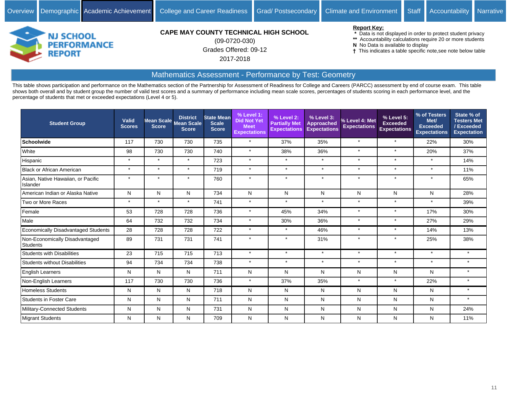

Grades Offered: 09-12 2017-2018 (09-0720-030)

#### **Report Key:**

 **\*** Data is not displayed in order to protect student privacy

- **\*\*** Accountability calculations require 20 or more students
- **N** No Data is available to display
- This indicates a table specific note,see note below table

# Mathematics Assessment - Performance by Test: Geometry

This table shows participation and performance on the Mathematics section of the Partnership for Assessment of Readiness for College and Careers (PARCC) assessment by end of course exam. This table shows both overall and by student group the number of valid test scores and a summary of performance including mean scale scores, percentages of students scoring in each performance level, and the percentage of students that met or exceeded expectations (Level 4 or 5).

| <b>Student Group</b>                           | Valid<br><b>Scores</b> | Mean Scale<br><b>Score</b> | <b>District</b><br><b>Mean Scale</b><br><b>Score</b> | <b>State Mean</b><br><b>Scale</b><br><b>Score</b> | % Level 1:<br><b>Did Not Yet</b><br><b>Meet</b><br><b>Expectations</b> | % Level 2:<br><b>Partially Met</b><br><b>Expectations</b> | % Level 3:<br><b>Approached</b><br><b>Expectations</b> | 6 Level 4: Met<br><b>Expectations</b> | % Level 5:<br><b>Exceeded</b><br><b>Expectations</b> | % of Testers<br>Met/<br><b>Exceeded</b><br><b>Expectations</b> | State % of<br><b>Testers Met</b><br>/Exceeded<br><b>Expectation</b> |
|------------------------------------------------|------------------------|----------------------------|------------------------------------------------------|---------------------------------------------------|------------------------------------------------------------------------|-----------------------------------------------------------|--------------------------------------------------------|---------------------------------------|------------------------------------------------------|----------------------------------------------------------------|---------------------------------------------------------------------|
| Schoolwide                                     | 117                    | 730                        | 730                                                  | 735                                               | $\star$                                                                | 37%                                                       | 35%                                                    | $\star$                               | $\star$                                              | 22%                                                            | 30%                                                                 |
| White                                          | 98                     | 730                        | 730                                                  | 740                                               | $\star$                                                                | 38%                                                       | 36%                                                    | $\star$                               | $\star$                                              | 20%                                                            | 37%                                                                 |
| Hispanic                                       | $\star$                | $\star$                    | $\star$                                              | 723                                               | $\star$                                                                | $\star$                                                   | $\star$                                                | $\star$                               | $\star$                                              | $\star$                                                        | 14%                                                                 |
| <b>Black or African American</b>               | $\star$                | $\star$                    | $\star$                                              | 719                                               | $\star$                                                                | $\star$                                                   | $\star$                                                | $\star$                               | $\star$                                              | $\star$                                                        | 11%                                                                 |
| Asian, Native Hawaiian, or Pacific<br>Islander | $\star$                | $\star$                    | $\star$                                              | 760                                               | $\star$                                                                | $\star$                                                   | $\star$                                                | $\star$                               | $\star$                                              | $\star$                                                        | 65%                                                                 |
| American Indian or Alaska Native               | N                      | N                          | N                                                    | 734                                               | N                                                                      | N                                                         | N                                                      | N                                     | N                                                    | N                                                              | 28%                                                                 |
| Two or More Races                              | $\star$                | $\star$                    | $\star$                                              | 741                                               | $\star$                                                                | $\star$                                                   | $\star$                                                | $\star$                               | $\star$                                              | $\star$                                                        | 39%                                                                 |
| Female                                         | 53                     | 728                        | 728                                                  | 736                                               | $\star$                                                                | 45%                                                       | 34%                                                    | $\star$                               | $\star$                                              | 17%                                                            | 30%                                                                 |
| Male                                           | 64                     | 732                        | 732                                                  | 734                                               | $\star$                                                                | 30%                                                       | 36%                                                    | $\star$                               | $\star$                                              | 27%                                                            | 29%                                                                 |
| <b>Economically Disadvantaged Students</b>     | 28                     | 728                        | 728                                                  | 722                                               | $\star$                                                                | $\star$                                                   | 46%                                                    | $\star$                               | $\star$                                              | 14%                                                            | 13%                                                                 |
| Non-Economically Disadvantaged<br>Students     | 89                     | 731                        | 731                                                  | 741                                               | $\star$                                                                | $\star$                                                   | 31%                                                    | $\star$                               | $\star$                                              | 25%                                                            | 38%                                                                 |
| <b>Students with Disabilities</b>              | 23                     | 715                        | 715                                                  | 713                                               | $\star$                                                                | $\star$                                                   | $\star$                                                | $\star$                               | $\star$                                              | $\star$                                                        | $\star$                                                             |
| <b>Students without Disabilities</b>           | 94                     | 734                        | 734                                                  | 738                                               | $\star$                                                                | $\star$                                                   | $\star$                                                | $\star$                               | $\star$                                              | $\star$                                                        | $\star$                                                             |
| English Learners                               | N                      | N                          | N                                                    | 711                                               | N                                                                      | N                                                         | N                                                      | N                                     | N                                                    | N                                                              | $\star$                                                             |
| Non-English Learners                           | 117                    | 730                        | 730                                                  | 736                                               | $\star$                                                                | 37%                                                       | 35%                                                    | $\star$                               | $\star$                                              | 22%                                                            | $\star$                                                             |
| Homeless Students                              | N                      | N                          | N                                                    | 718                                               | N                                                                      | N                                                         | N                                                      | N                                     | N                                                    | N                                                              | $\star$                                                             |
| <b>Students in Foster Care</b>                 | N                      | N                          | N                                                    | 711                                               | N                                                                      | N                                                         | N                                                      | N                                     | N                                                    | N                                                              | $\star$                                                             |
| Military-Connected Students                    | N                      | N                          | N                                                    | 731                                               | N                                                                      | N                                                         | N                                                      | N                                     | N                                                    | N                                                              | 24%                                                                 |
| Migrant Students                               | N                      | N                          | N                                                    | 709                                               | N                                                                      | N                                                         | N                                                      | N                                     | N                                                    | N                                                              | 11%                                                                 |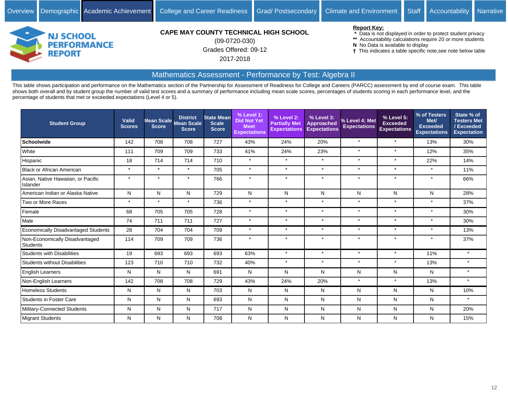

Grades Offered: 09-12 2017-2018 (09-0720-030)

#### **Report Key:**

 **\*** Data is not displayed in order to protect student privacy

- **\*\*** Accountability calculations require 20 or more students
- **N** No Data is available to display
- This indicates a table specific note,see note below table

# Mathematics Assessment - Performance by Test: Algebra II

This table shows participation and performance on the Mathematics section of the Partnership for Assessment of Readiness for College and Careers (PARCC) assessment by end of course exam. This table shows both overall and by student group the number of valid test scores and a summary of performance including mean scale scores, percentages of students scoring in each performance level, and the percentage of students that met or exceeded expectations (Level 4 or 5).

| <b>Student Group</b>                           | Valid<br><b>Scores</b> | <b>Score</b> | <b>District</b><br>Mean Scale Mean Scale<br><b>Score</b> | <b>State Mean</b><br><b>Scale</b><br><b>Score</b> | % Level 1:<br><b>Did Not Yet</b><br><b>Meet</b><br><b>Expectations</b> | % Level 2:<br><b>Partially Met</b><br><b>Expectations</b> | % Level 3:<br><b>Approached</b><br><b>Expectations</b> | 6 Level 4: Met<br><b>Expectations</b> | % Level 5:<br><b>Exceeded</b><br><b>Expectations</b> | % of Testers<br>Met/<br><b>Exceeded</b><br><b>Expectations</b> | State % of<br><b>Testers Met</b><br>/Exceeded<br><b>Expectation</b> |
|------------------------------------------------|------------------------|--------------|----------------------------------------------------------|---------------------------------------------------|------------------------------------------------------------------------|-----------------------------------------------------------|--------------------------------------------------------|---------------------------------------|------------------------------------------------------|----------------------------------------------------------------|---------------------------------------------------------------------|
| Schoolwide                                     | 142                    | 708          | 708                                                      | 727                                               | 43%                                                                    | 24%                                                       | 20%                                                    | $\star$                               | $\star$                                              | 13%                                                            | 30%                                                                 |
| White                                          | 111                    | 709          | 709                                                      | 733                                               | 41%                                                                    | 24%                                                       | 23%                                                    | $\star$                               | $\star$                                              | 12%                                                            | 35%                                                                 |
| Hispanic                                       | 18                     | 714          | 714                                                      | 710                                               | $\star$                                                                | $\star$                                                   | $\star$                                                | $\star$                               | $\star$                                              | 22%                                                            | 14%                                                                 |
| <b>Black or African American</b>               | $\star$                | $\star$      | $\star$                                                  | 705                                               | $\star$                                                                | $\star$                                                   | $\star$                                                | $\star$                               | $\star$                                              | $\star$                                                        | 11%                                                                 |
| Asian, Native Hawaiian, or Pacific<br>Islander | $\star$                | $\star$      | $\star$                                                  | 766                                               | $\star$                                                                | $\star$                                                   | $\star$                                                | $\star$                               | $\star$                                              | $\star$                                                        | 66%                                                                 |
| American Indian or Alaska Native               | N                      | N            | N                                                        | 729                                               | N                                                                      | N                                                         | N                                                      | N                                     | N                                                    | N                                                              | 28%                                                                 |
| Two or More Races                              | $\star$                | $\star$      | $\star$                                                  | 736                                               | $\star$                                                                | $\star$                                                   | $\star$                                                | $\star$                               | $\star$                                              | $\star$                                                        | 37%                                                                 |
| Female                                         | 68                     | 705          | 705                                                      | 728                                               | $\star$                                                                | $\star$                                                   | $\star$                                                | $\star$                               | $\star$                                              | $\star$                                                        | 30%                                                                 |
| Male                                           | 74                     | 711          | 711                                                      | 727                                               | $\star$                                                                | $\star$                                                   | $\star$                                                | $\star$                               | $\star$                                              | $\star$                                                        | 30%                                                                 |
| <b>Economically Disadvantaged Students</b>     | 28                     | 704          | 704                                                      | 709                                               | $\star$                                                                | $\star$                                                   | $\star$                                                | $\star$                               | $\star$                                              | $\star$                                                        | 13%                                                                 |
| Non-Economically Disadvantaged<br>Students     | 114                    | 709          | 709                                                      | 736                                               | $\star$                                                                | $\star$                                                   | $\star$                                                | $\star$                               | $\star$                                              | $\star$                                                        | 37%                                                                 |
| <b>Students with Disabilities</b>              | 19                     | 693          | 693                                                      | 693                                               | 63%                                                                    | $\star$                                                   | $\star$                                                | $\star$                               | $\star$                                              | 11%                                                            | $\star$                                                             |
| <b>Students without Disabilities</b>           | 123                    | 710          | 710                                                      | 732                                               | 40%                                                                    | $\star$                                                   | $\star$                                                | $\star$                               | $\star$                                              | 13%                                                            | $\star$                                                             |
| English Learners                               | N                      | N            | N                                                        | 691                                               | N                                                                      | N                                                         | N                                                      | N                                     | N                                                    | N                                                              | $\star$                                                             |
| Non-English Learners                           | 142                    | 708          | 708                                                      | 729                                               | 43%                                                                    | 24%                                                       | 20%                                                    | $\star$                               | $\star$                                              | 13%                                                            | $\star$                                                             |
| <b>Homeless Students</b>                       | N                      | N            | N                                                        | 703                                               | N                                                                      | N                                                         | N                                                      | N                                     | N                                                    | N                                                              | 10%                                                                 |
| <b>Students in Foster Care</b>                 | N                      | N            | N                                                        | 693                                               | N                                                                      | N                                                         | N                                                      | N                                     | N                                                    | N                                                              | $\star$                                                             |
| Military-Connected Students                    | N                      | N            | N                                                        | 717                                               | N                                                                      | N                                                         | N                                                      | N                                     | N                                                    | N                                                              | 20%                                                                 |
| Migrant Students                               | N                      | N            | N                                                        | 708                                               | N                                                                      | N                                                         | N                                                      | N                                     | N                                                    | N                                                              | 15%                                                                 |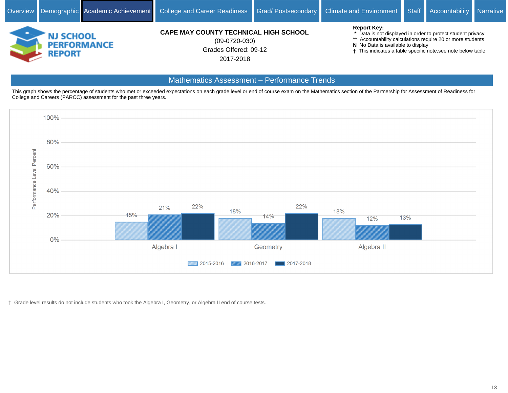

Grades Offered: 09-12 2017-2018 (09-0720-030)

#### **Report Key:**

 **\*** Data is not displayed in order to protect student privacy

- **\*\*** Accountability calculations require 20 or more students
- **N** No Data is available to display
- This indicates a table specific note,see note below table

## Mathematics Assessment - Performance Trends

This graph shows the percentage of students who met or exceeded expectations on each grade level or end of course exam on the Mathematics section of the Partnership for Assessment of Readiness for College and Careers (PARCC) assessment for the past three years.



Grade level results do not include students who took the Algebra I, Geometry, or Algebra II end of course tests.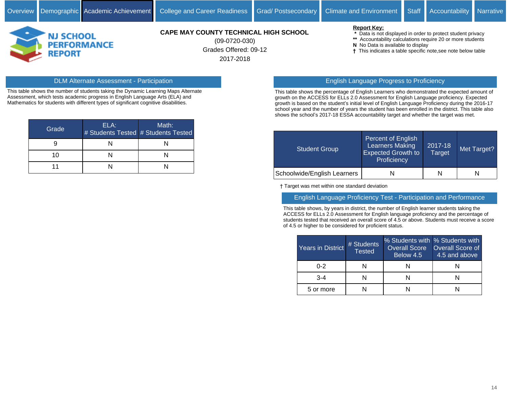

Grades Offered: 09-12 2017-2018 (09-0720-030)

#### **Report Key:**

- **\*** Data is not displayed in order to protect student privacy
- **\*\*** Accountability calculations require 20 or more students
- **N** No Data is available to display
- This indicates a table specific note,see note below table

## DLM Alternate Assessment - Participation English Language Progress to Proficiency

This table shows the number of students taking the Dynamic Learning Maps Alternate Assessment, which tests academic progress in English Language Arts (ELA) and Mathematics for students with different types of significant cognitive disabilities.

| Grade | ELA: | Math:<br># Students Tested # Students Tested |
|-------|------|----------------------------------------------|
|       |      |                                              |
| 10    |      |                                              |
|       |      |                                              |

This table shows the percentage of English Learners who demonstrated the expected amount of growth on the ACCESS for ELLs 2.0 Assessment for English Language proficiency. Expected growth is based on the student's initial level of English Language Proficiency during the 2016-17 school year and the number of years the student has been enrolled in the district. This table also shows the school's 2017-18 ESSA accountability target and whether the target was met.

| <b>Student Group</b>        | Percent of English<br><b>Learners Making</b><br><b>Expected Growth to</b><br>Proficiency | 2017-18<br><b>Target</b> | Met Target? |
|-----------------------------|------------------------------------------------------------------------------------------|--------------------------|-------------|
| Schoolwide/English Learners |                                                                                          | N                        |             |

Target was met within one standard deviation

#### English Language Proficiency Test - Participation and Performance

This table shows, by years in district, the number of English learner students taking the ACCESS for ELLs 2.0 Assessment for English language proficiency and the percentage of students tested that received an overall score of 4.5 or above. Students must receive a score of 4.5 or higher to be considered for proficient status.

| <b>Years in District</b> | # Students<br><b>Tested</b> | % Students with % Students with<br><b>Overall Score</b><br>Below 4.5 | <b>Overall Score of</b><br>4.5 and above |  |
|--------------------------|-----------------------------|----------------------------------------------------------------------|------------------------------------------|--|
| በ-2                      |                             |                                                                      |                                          |  |
| $3 - 4$                  |                             |                                                                      |                                          |  |
| 5 or more                |                             |                                                                      |                                          |  |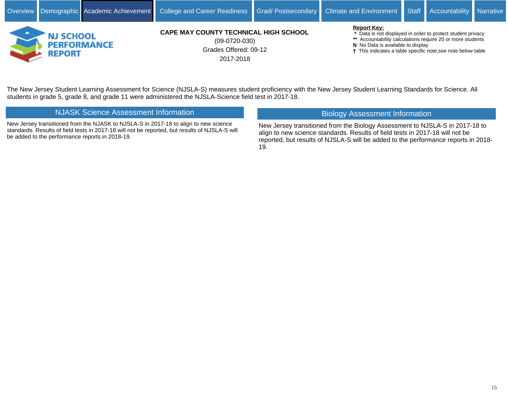

Grades Offered: 09-12 2017-2018 (09-0720-030)

#### **Report Key:**

- **\*** Data is not displayed in order to protect student privacy
- **\*\*** Accountability calculations require 20 or more students
- **N** No Data is available to display
- This indicates a table specific note,see note below table

The New Jersey Student Learning Assessment for Science (NJSLA-S) measures student proficiency with the New Jersey Student Learning Standards for Science. All students in grade 5, grade 8, and grade 11 were administered the NJSLA-Science field test in 2017-18.

## NJASK Science Assessment Information

New Jersey transitioned from the NJASK to NJSLA-S in 2017-18 to align to new science standards. Results of field tests in 2017-18 will not be reported, but results of NJSLA-S will be added to the performance reports in 2018-19.

# Biology Assessment Information

New Jersey transitioned from the Biology Assessment to NJSLA-S in 2017-18 to align to new science standards. Results of field tests in 2017-18 will not be reported, but results of NJSLA-S will be added to the performance reports in 2018- 19.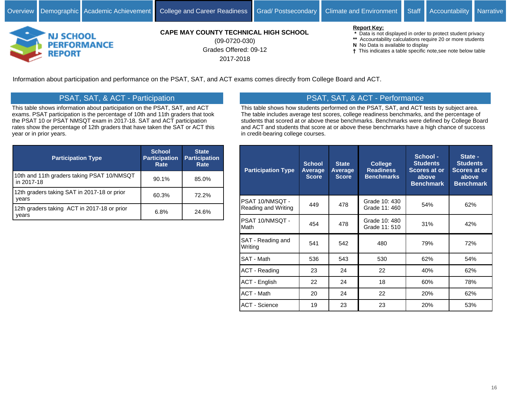

Grades Offered: 09-12 2017-2018 (09-0720-030)

#### **Report Key:**

- **\*** Data is not displayed in order to protect student privacy
- **\*\*** Accountability calculations require 20 or more students
- **N** No Data is available to display
- This indicates a table specific note,see note below table

Information about participation and performance on the PSAT, SAT, and ACT exams comes directly from College Board and ACT.

# PSAT, SAT, & ACT - Participation

This table shows information about participation on the PSAT, SAT, and ACT exams. PSAT participation is the percentage of 10th and 11th graders that took the PSAT 10 or PSAT NMSQT exam in 2017-18. SAT and ACT participation rates show the percentage of 12th graders that have taken the SAT or ACT this year or in prior years.

| <b>Participation Type</b>                                | <b>School</b><br><b>Participation</b><br>Rate | <b>State</b><br><b>Participation</b><br>Rate |
|----------------------------------------------------------|-----------------------------------------------|----------------------------------------------|
| 10th and 11th graders taking PSAT 10/NMSQT<br>in 2017-18 | 90.1%                                         | 85.0%                                        |
| 12th graders taking SAT in 2017-18 or prior<br>years     | 60.3%                                         | 72.2%                                        |
| 12th graders taking ACT in 2017-18 or prior<br>vears     | 6.8%                                          | 24.6%                                        |

# PSAT, SAT, & ACT - Performance

This table shows how students performed on the PSAT, SAT, and ACT tests by subject area. The table includes average test scores, college readiness benchmarks, and the percentage of students that scored at or above these benchmarks. Benchmarks were defined by College Board and ACT and students that score at or above these benchmarks have a high chance of success in credit-bearing college courses.

| <b>Participation Type</b>              | <b>School</b><br><b>Average</b><br><b>Score</b> | <b>State</b><br>Average<br><b>Score</b> | <b>College</b><br><b>Readiness</b><br><b>Benchmarks</b> | School -<br><b>Students</b><br>Scores at or<br>above<br><b>Benchmark</b> | State -<br><b>Students</b><br><b>Scores at or</b><br>above<br><b>Benchmark</b> |
|----------------------------------------|-------------------------------------------------|-----------------------------------------|---------------------------------------------------------|--------------------------------------------------------------------------|--------------------------------------------------------------------------------|
| PSAT 10/NMSQT -<br>Reading and Writing | 449                                             | 478                                     | Grade 10: 430<br>Grade 11: 460                          | 54%                                                                      | 62%                                                                            |
| PSAT 10/NMSQT -<br>Math                | 454                                             | 478                                     | Grade 10: 480<br>Grade 11: 510                          | 31%                                                                      | 42%                                                                            |
| SAT - Reading and<br>Writing           | 541                                             | 542                                     | 480                                                     | 79%                                                                      | 72%                                                                            |
| SAT - Math                             | 536                                             | 543                                     | 530                                                     | 62%                                                                      | 54%                                                                            |
| <b>ACT - Reading</b>                   | 23                                              | 24                                      | 22                                                      | 40%                                                                      | 62%                                                                            |
| <b>ACT - English</b>                   | 22                                              | 24                                      | 18                                                      | 60%                                                                      | 78%                                                                            |
| ACT - Math                             | 20                                              | 24                                      | 22                                                      | 20%                                                                      | 62%                                                                            |
| <b>ACT - Science</b>                   | 19                                              | 23                                      | 23                                                      | 20%                                                                      | 53%                                                                            |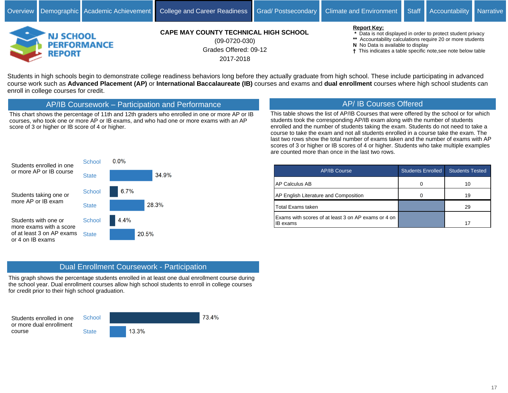

Grades Offered: 09-12 2017-2018 (09-0720-030)

#### **Report Key:**

 **\*** Data is not displayed in order to protect student privacy

- **\*\*** Accountability calculations require 20 or more students
- **N** No Data is available to display
- This indicates a table specific note,see note below table

Students in high schools begin to demonstrate college readiness behaviors long before they actually graduate from high school. These include participating in advanced course work such as **Advanced Placement (AP)** or **International Baccalaureate (IB)** courses and exams and **dual enrollment** courses where high school students can enroll in college courses for credit.

AP/IB Coursework - Participation and Performance

This chart shows the percentage of 11th and 12th graders who enrolled in one or more AP or IB courses, who took one or more AP or IB exams, and who had one or more exams with an AP score of 3 or higher or IB score of 4 or higher.

# AP/ IB Courses Offered

This table shows the list of AP/IB Courses that were offered by the school or for which students took the corresponding AP/IB exam along with the number of students enrolled and the number of students taking the exam. Students do not need to take a course to take the exam and not all students enrolled in a course take the exam. The last two rows show the total number of exams taken and the number of exams with AP scores of 3 or higher or IB scores of 4 or higher. Students who take multiple examples are counted more than once in the last two rows.



| <b>AP/IB Course</b>                                                    | <b>Students Enrolled</b> | <b>Students Tested</b> |
|------------------------------------------------------------------------|--------------------------|------------------------|
| <b>AP Calculus AB</b>                                                  |                          | 10                     |
| AP English Literature and Composition                                  |                          | 19                     |
| <b>Total Exams taken</b>                                               |                          | 29                     |
| Exams with scores of at least 3 on AP exams or 4 on<br><b>IB</b> exams |                          | 17                     |

# Dual Enrollment Coursework - Participation

This graph shows the percentage students enrolled in at least one dual enrollment course during the school year. Dual enrollment courses allow high school students to enroll in college courses for credit prior to their high school graduation.

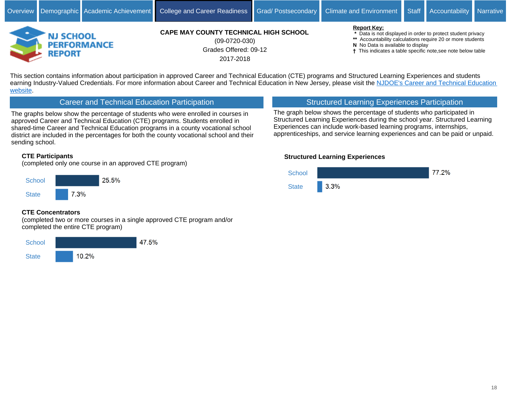

Grades Offered: 09-12 2017-2018 (09-0720-030)

#### **Report Key:**

 **\*** Data is not displayed in order to protect student privacy

- **\*\*** Accountability calculations require 20 or more students
- **N** No Data is available to display
- This indicates a table specific note,see note below table

This section contains information about participation in approved Career and Technical Education (CTE) programs and Structured Learning Experiences and students earning Industry-Valued Credentials. For more information about Career and Technical Education in New Jersey, please visit the NJDOE's Career and Technical Education [website.](https://www.nj.gov/education/cte/)

## Career and Technical Education Participation

The graphs below show the percentage of students who were enrolled in courses in approved Career and Technical Education (CTE) programs. Students enrolled in shared-time Career and Technical Education programs in a county vocational school district are included in the percentages for both the county vocational school and their sending school.

## **CTE Participants**

(completed only one course in an approved CTE program)



## **CTE Concentrators**

(completed two or more courses in a single approved CTE program and/or completed the entire CTE program)



# Structured Learning Experiences Participation

The graph below shows the percentage of students who participated in Structured Learning Experiences during the school year. Structured Learning Experiences can include work-based learning programs, internships, apprenticeships, and service learning experiences and can be paid or unpaid.

## **Structured Learning Experiences**

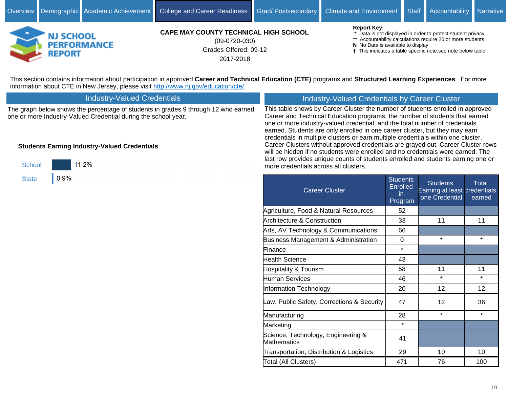more credentials across all clusters.



**CAPE MAY COUNTY TECHNICAL HIGH SCHOOL**

Grades Offered: 09-12 2017-2018 (09-0720-030)

#### **Report Key:**

 **\*** Data is not displayed in order to protect student privacy

- **\*\*** Accountability calculations require 20 or more students
- **N** No Data is available to display
- This indicates a table specific note,see note below table

This section contains information about participation in approved Career and Technical Education (CTE) programs and Structured Learning Experiences. For more information about CTE in New Jersey, please visit<http://www.nj.gov/education/cte/>.

| <b>Industry-Valued Credentials</b>                                                                                                                   | Industry-Valued Credentials by Career Cluster                                                                                                                                                                                                                                                                                                                                                                    |
|------------------------------------------------------------------------------------------------------------------------------------------------------|------------------------------------------------------------------------------------------------------------------------------------------------------------------------------------------------------------------------------------------------------------------------------------------------------------------------------------------------------------------------------------------------------------------|
| The graph below shows the percentage of students in grades 9 through 12 who earned<br>one or more Industry-Valued Credential during the school year. | This table shows by Career Cluster the number of students enrolled in approved<br>Career and Technical Education programs, the number of students that earned<br>one or more industry-valued credential, and the total number of credentials<br>earned. Students are only enrolled in one career cluster, but they may earn<br>credentials in multiple clusters or earn multiple credentials within one cluster. |
| <b>Students Earning Industry-Valued Credentials</b>                                                                                                  | Career Clusters without approved credentials are grayed out. Career Cluster rows<br>will be hidden if no students were enrolled and no credentials were earned. The<br>last row provides unique counts of students enrolled and students earning one or                                                                                                                                                          |



| <b>Career Cluster</b>                             | <b>Students</b><br><b>Enrolled</b><br>in<br>Program | <b>Students</b><br>Earning at least credentials<br>one Credential | <b>Total</b><br>earned |
|---------------------------------------------------|-----------------------------------------------------|-------------------------------------------------------------------|------------------------|
| Agriculture, Food & Natural Resources             | 52                                                  |                                                                   |                        |
| <b>Architecture &amp; Construction</b>            | 33                                                  | 11                                                                | 11                     |
| Arts, AV Technology & Communications              | 66                                                  |                                                                   |                        |
| <b>Business Management &amp; Administration</b>   | 0                                                   | $\star$                                                           | $\star$                |
| Finance                                           | $\star$                                             |                                                                   |                        |
| <b>Health Science</b>                             | 43                                                  |                                                                   |                        |
| <b>Hospitality &amp; Tourism</b>                  | 58                                                  | 11                                                                | 11                     |
| <b>Human Services</b>                             | 46                                                  | $\star$                                                           | $\star$                |
| Information Technology                            | 20                                                  | 12                                                                | 12                     |
| Law, Public Safety, Corrections & Security        | 47                                                  | 12                                                                | 36                     |
| Manufacturing                                     | 28                                                  | $\star$                                                           | $\star$                |
| Marketing                                         | $\star$                                             |                                                                   |                        |
| Science, Technology, Engineering &<br>Mathematics | 41                                                  |                                                                   |                        |
| Transportation, Distribution & Logistics          | 29                                                  | 10                                                                | 10                     |
| Total (All Clusters)                              | 471                                                 | 76                                                                | 100                    |
|                                                   |                                                     |                                                                   |                        |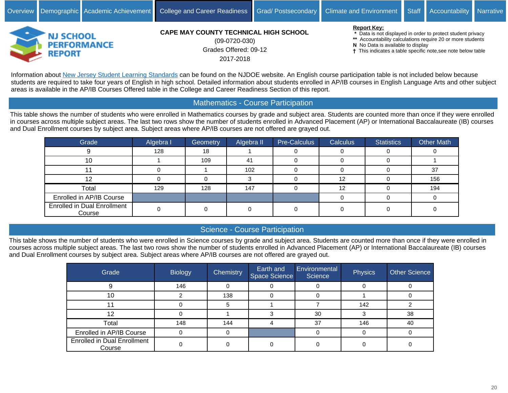

Grades Offered: 09-12 2017-2018 (09-0720-030)

**Report Key:**

 **\*** Data is not displayed in order to protect student privacy

- **\*\*** Accountability calculations require 20 or more students
- **N** No Data is available to display
- This indicates a table specific note,see note below table

Information about [New Jersey Student Learning Standards](https://www.nj.gov/education/cccs/) can be found on the NJDOE website. An English course participation table is not included below because students are required to take four years of English in high school. Detailed information about students enrolled in AP/IB courses in English Language Arts and other subject areas is available in the AP/IB Courses Offered table in the College and Career Readiness Section of this report.

# Mathematics - Course Participation

This table shows the number of students who were enrolled in Mathematics courses by grade and subject area. Students are counted more than once if they were enrolled in courses across multiple subject areas. The last two rows show the number of students enrolled in Advanced Placement (AP) or International Baccalaureate (IB) courses and Dual Enrollment courses by subject area. Subject areas where AP/IB courses are not offered are grayed out.

| Grade                                        | Algebra I | Geometry | Algebra II | Pre-Calculus | <b>Calculus</b> | <b>Statistics</b> | <b>Other Math</b> |
|----------------------------------------------|-----------|----------|------------|--------------|-----------------|-------------------|-------------------|
|                                              | 128       | 18       |            |              |                 |                   |                   |
| 10                                           |           | 109      | 41         |              |                 |                   |                   |
|                                              |           |          | 102        |              |                 |                   | 37                |
|                                              |           |          |            |              | 12              |                   | 156               |
| Total                                        | 129       | 128      | 147        |              | 12              |                   | 194               |
| Enrolled in AP/IB Course                     |           |          |            |              |                 |                   |                   |
| <b>Enrolled in Dual Enrollment</b><br>Course |           |          |            |              |                 |                   |                   |

# Science - Course Participation

This table shows the number of students who were enrolled in Science courses by grade and subject area. Students are counted more than once if they were enrolled in courses across multiple subject areas. The last two rows show the number of students enrolled in Advanced Placement (AP) or International Baccalaureate (IB) courses and Dual Enrollment courses by subject area. Subject areas where AP/IB courses are not offered are grayed out.

| Grade                                        | <b>Biology</b> | <b>Chemistry</b> | <b>Earth</b> and<br>Space Science | Environmental<br>Science | Physics | <b>Other Science</b> |
|----------------------------------------------|----------------|------------------|-----------------------------------|--------------------------|---------|----------------------|
|                                              | 146            |                  |                                   |                          |         |                      |
| 10                                           |                | 138              |                                   |                          |         |                      |
|                                              |                |                  |                                   |                          | 142     |                      |
| 12                                           |                |                  |                                   | 30                       |         | 38                   |
| Total                                        | 148            | 144              |                                   | 37                       | 146     | 40                   |
| Enrolled in AP/IB Course                     |                |                  |                                   |                          |         |                      |
| <b>Enrolled in Dual Enrollment</b><br>Course |                |                  |                                   |                          |         |                      |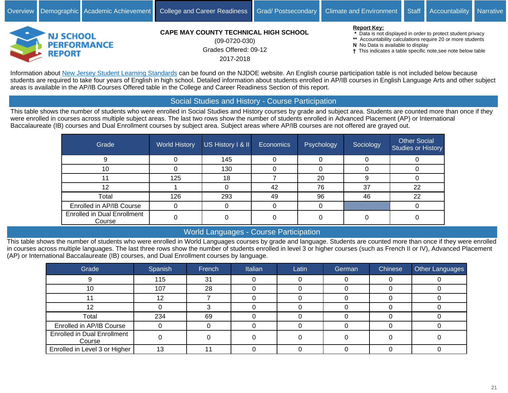

Grades Offered: 09-12 2017-2018 (09-0720-030)

**Report Key:**

 **\*** Data is not displayed in order to protect student privacy

- **\*\*** Accountability calculations require 20 or more students
- **N** No Data is available to display
- This indicates a table specific note,see note below table

Information about [New Jersey Student Learning Standards](https://www.nj.gov/education/cccs/) can be found on the NJDOE website. An English course participation table is not included below because students are required to take four years of English in high school. Detailed information about students enrolled in AP/IB courses in English Language Arts and other subject areas is available in the AP/IB Courses Offered table in the College and Career Readiness Section of this report.

## Social Studies and History - Course Participation

This table shows the number of students who were enrolled in Social Studies and History courses by grade and subject area. Students are counted more than once if they were enrolled in courses across multiple subject areas. The last two rows show the number of students enrolled in Advanced Placement (AP) or International Baccalaureate (IB) courses and Dual Enrollment courses by subject area. Subject areas where AP/IB courses are not offered are grayed out.

| Grade                                        | <b>World History</b> | US History I & II | Economics | Psychology | Sociology | <b>Other Social</b><br><b>Studies or History</b> |
|----------------------------------------------|----------------------|-------------------|-----------|------------|-----------|--------------------------------------------------|
|                                              |                      | 145               |           |            |           |                                                  |
| 10                                           |                      | 130               |           |            |           |                                                  |
| 11                                           | 125                  | 18                |           | 20         |           |                                                  |
| 12                                           |                      |                   | 42        | 76         | 37        | 22                                               |
| Total                                        | 126                  | 293               | 49        | 96         | 46        | 22                                               |
| Enrolled in AP/IB Course                     | U                    |                   |           |            |           |                                                  |
| <b>Enrolled in Dual Enrollment</b><br>Course |                      |                   |           |            |           |                                                  |

# World Languages - Course Participation

This table shows the number of students who were enrolled in World Languages courses by grade and language. Students are counted more than once if they were enrolled in courses across multiple languages. The last three rows show the number of students enrolled in level 3 or higher courses (such as French II or IV), Advanced Placement (AP) or International Baccalaureate (IB) courses, and Dual Enrollment courses by language.

| Grade                                        | Spanish | French | Italian | Latin | <b>German</b> | Chinese | Other Languages |
|----------------------------------------------|---------|--------|---------|-------|---------------|---------|-----------------|
|                                              | 115     | 31     |         |       |               |         |                 |
| 10                                           | 107     | 28     |         |       |               |         |                 |
|                                              | 12.     |        |         |       |               |         |                 |
| 12                                           |         |        |         |       |               |         |                 |
| Total                                        | 234     | 69     |         |       |               |         |                 |
| Enrolled in AP/IB Course                     |         |        |         |       |               |         |                 |
| <b>Enrolled in Dual Enrollment</b><br>Course |         |        |         |       |               |         |                 |
| Enrolled in Level 3 or Higher                | 13      |        |         |       |               |         |                 |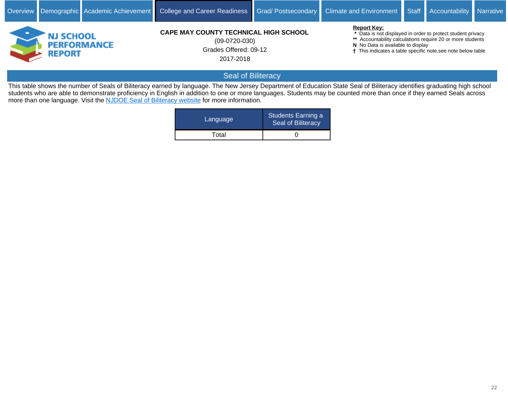

Grades Offered: 09-12 2017-2018 (09-0720-030)

**Report Key:**

 **\*** Data is not displayed in order to protect student privacy

**\*\*** Accountability calculations require 20 or more students

- **N** No Data is available to display
- This indicates a table specific note,see note below table

# Seal of Biliteracy

This table shows the number of Seals of Biliteracy earned by language. The New Jersey Department of Education State Seal of Biliteracy identifies graduating high school students who are able to demonstrate proficiency in English in addition to one or more languages. Students may be counted more than once if they earned Seals across more than one language. Visit the [NJDOE Seal of Biliteracy website](https://www.state.nj.us/education/aps/cccs/wl/biliteracy/) for more information.

| Language | Students Earning a<br>Seal of Biliteracy |
|----------|------------------------------------------|
| Total    |                                          |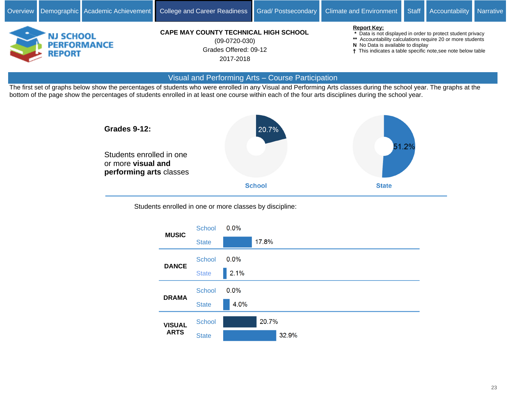

#### Visual and Performing Arts - Course Participation

The first set of graphs below show the percentages of students who were enrolled in any Visual and Performing Arts classes during the school year. The graphs at the bottom of the page show the percentages of students enrolled in at least one course within each of the four arts disciplines during the school year.



Students enrolled in one or more classes by discipline:

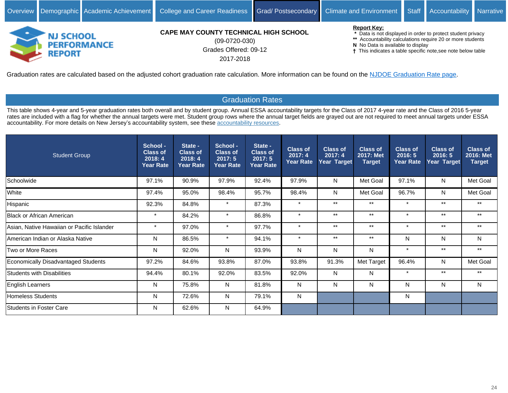

# Grades Offered: 09-12 (09-0720-030)

**PERFORMANCE** 

**REPORT** 

## 2017-2018

- **\*\*** Accountability calculations require 20 or more students
- **N** No Data is available to display
- This indicates a table specific note,see note below table

Graduation rates are calculated based on the adjusted cohort graduation rate calculation. More information can be found on the [NJDOE Graduation Rate page.](https://www.state.nj.us/education/data/grate/info.htm)

# Graduation Rates

This table shows 4-year and 5-year graduation rates both overall and by student group. Annual ESSA accountability targets for the Class of 2017 4-year rate and the Class of 2016 5-year rates are included with a flag for whether the annual targets were met. Student group rows where the annual target fields are grayed out are not required to meet annual targets under ESSA accountability. For more details on New Jersey's accountability system, see these [accountability resources](https://www.state.nj.us/education/title1/accountability/progress/18/).

| <b>Student Group</b>                       | School -<br><b>Class of</b><br>2018:4<br><b>Year Rate</b> | State -<br><b>Class of</b><br>2018:4<br><b>Year Rate</b> | School -<br><b>Class of</b><br>2017:5<br><b>Year Rate</b> | State -<br><b>Class of</b><br>2017:5<br><b>Year Rate</b> | <b>Class of</b><br>2017:4<br><b>Year Rate</b> | <b>Class of</b><br>2017:4<br>Year Target | <b>Class of</b><br>2017: Met<br><b>Target</b> | <b>Class of</b><br>2016:5<br><b>Year Rate</b> | <b>Class of</b><br>2016:5<br>Year Target | <b>Class of</b><br>2016: Met<br><b>Target</b> |
|--------------------------------------------|-----------------------------------------------------------|----------------------------------------------------------|-----------------------------------------------------------|----------------------------------------------------------|-----------------------------------------------|------------------------------------------|-----------------------------------------------|-----------------------------------------------|------------------------------------------|-----------------------------------------------|
| Schoolwide                                 | 97.1%                                                     | 90.9%                                                    | 97.9%                                                     | 92.4%                                                    | 97.9%                                         | N                                        | Met Goal                                      | 97.1%                                         | $\mathsf{N}$                             | Met Goal                                      |
| White                                      | 97.4%                                                     | 95.0%                                                    | 98.4%                                                     | 95.7%                                                    | 98.4%                                         | N                                        | Met Goal                                      | 96.7%                                         | N                                        | Met Goal                                      |
| Hispanic                                   | 92.3%                                                     | 84.8%                                                    | $\star$                                                   | 87.3%                                                    | $\star$                                       | $***$                                    | $^{\star\star}$                               | $\star$                                       | $***$                                    | $***$                                         |
| Black or African American                  | $\star$                                                   | 84.2%                                                    | $\star$                                                   | 86.8%                                                    | $\star$                                       | $***$                                    | $***$                                         | $\star$                                       | $***$                                    | $***$                                         |
| Asian, Native Hawaiian or Pacific Islander | $\star$                                                   | 97.0%                                                    | $\star$                                                   | 97.7%                                                    | $\star$                                       | $***$                                    | $^{\star\star}$                               | $\cdot$                                       | $***$                                    | $***$                                         |
| American Indian or Alaska Native           | N                                                         | 86.5%                                                    | $\star$                                                   | 94.1%                                                    | $\pmb{\star}$                                 | $***$                                    | $^{\star\star}$                               | N                                             | N                                        | N                                             |
| Two or More Races                          | N                                                         | 92.0%                                                    | N                                                         | 93.9%                                                    | N.                                            | N                                        | N                                             | $\cdot$                                       | $***$                                    | $***$                                         |
| Economically Disadvantaged Students        | 97.2%                                                     | 84.6%                                                    | 93.8%                                                     | 87.0%                                                    | 93.8%                                         | 91.3%                                    | Met Target                                    | 96.4%                                         | N                                        | Met Goal                                      |
| Students with Disabilities                 | 94.4%                                                     | 80.1%                                                    | 92.0%                                                     | 83.5%                                                    | 92.0%                                         | N                                        | N                                             | $\star$                                       | $***$                                    | $***$                                         |
| English Learners                           | N                                                         | 75.8%                                                    | N                                                         | 81.8%                                                    | N.                                            | N                                        | N                                             | N                                             | N                                        | N                                             |
| Homeless Students                          | N                                                         | 72.6%                                                    | N                                                         | 79.1%                                                    | N                                             |                                          |                                               | N                                             |                                          |                                               |
| Students in Foster Care                    | N                                                         | 62.6%                                                    | N                                                         | 64.9%                                                    |                                               |                                          |                                               |                                               |                                          |                                               |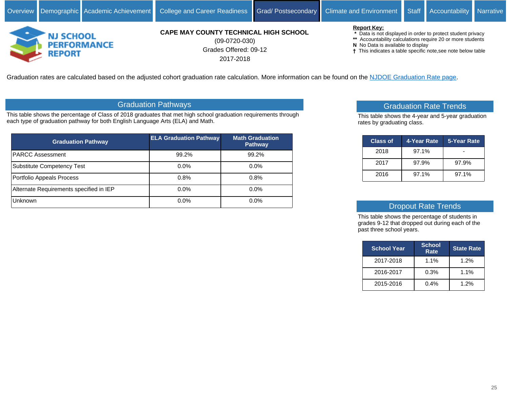

Grades Offered: 09-12 2017-2018 (09-0720-030)

#### **Report Key:**

- **\*** Data is not displayed in order to protect student privacy
- **\*\*** Accountability calculations require 20 or more students
- **N** No Data is available to display
- This indicates a table specific note,see note below table

Graduation rates are calculated based on the adjusted cohort graduation rate calculation. More information can be found on the [NJDOE Graduation Rate page.](https://www.state.nj.us/education/data/grate/info.htm)

# Graduation Pathways

This table shows the percentage of Class of 2018 graduates that met high school graduation requirements through each type of graduation pathway for both English Language Arts (ELA) and Math.

| <b>Graduation Pathway</b>               | <b>ELA Graduation Pathway</b> | <b>Math Graduation</b><br><b>Pathway</b> |
|-----------------------------------------|-------------------------------|------------------------------------------|
| <b>PARCC Assessment</b>                 | 99.2%                         | 99.2%                                    |
| <b>Substitute Competency Test</b>       | $0.0\%$                       | 0.0%                                     |
| Portfolio Appeals Process               | 0.8%                          | 0.8%                                     |
| Alternate Requirements specified in IEP | $0.0\%$                       | 0.0%                                     |
| <b>Unknown</b>                          | $0.0\%$                       | 0.0%                                     |

## Graduation Rate Trends

This table shows the 4-year and 5-year graduation rates by graduating class.

| <b>Class of</b> | 4-Year Rate | 5-Year Rate |
|-----------------|-------------|-------------|
| 2018            | 97.1%       |             |
| 2017            | 97.9%       | 97.9%       |
| 2016            | 97.1%       | 97.1%       |

## Dropout Rate Trends

This table shows the percentage of students in grades 9-12 that dropped out during each of the past three school years.

| <b>School Year</b> | <b>School</b><br>Rate | <b>State Rate</b> |
|--------------------|-----------------------|-------------------|
| 2017-2018          | 1.1%                  | 1.2%              |
| 2016-2017          | 0.3%                  | 1.1%              |
| 2015-2016          | 0.4%                  | 1.2%              |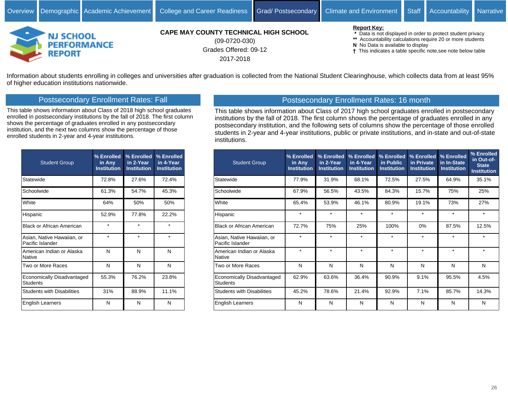

Grades Offered: 09-12 2017-2018 (09-0720-030)

#### **Report Key:**

 **\*** Data is not displayed in order to protect student privacy

- **\*\*** Accountability calculations require 20 or more students
- **N** No Data is available to display
- This indicates a table specific note,see note below table

Information about students enrolling in colleges and universities after graduation is collected from the National Student Clearinghouse, which collects data from at least 95% of higher education institutions nationwide.

## Postsecondary Enrollment Rates: Fall

This table shows information about Class of 2018 high school graduates enrolled in postsecondary institutions by the fall of 2018. The first column shows the percentage of graduates enrolled in any postsecondary institution, and the next two columns show the percentage of those enrolled students in 2-year and 4-year institutions.

| <b>Student Group</b>                           | % Enrolled<br>in Any<br><b>Institution</b> | % Enrolled<br>in 2-Year<br><b>Institution</b> | % Enrolled<br>in 4-Year<br><b>Institution</b> |
|------------------------------------------------|--------------------------------------------|-----------------------------------------------|-----------------------------------------------|
| Statewide                                      | 72.8%                                      | 27.6%                                         | 72.4%                                         |
| Schoolwide                                     | 61.3%                                      | 54.7%                                         | 45.3%                                         |
| White                                          | 64%                                        | 50%                                           | 50%                                           |
| Hispanic                                       | 52.9%                                      | 77.8%                                         | 22.2%                                         |
| <b>Black or African American</b>               | $\star$                                    | $\star$                                       | $\star$                                       |
| Asian, Native Hawaiian, or<br>Pacific Islander | $\star$                                    | $\star$                                       | $\star$                                       |
| American Indian or Alaska<br><b>Native</b>     | N                                          | N                                             | N                                             |
| Two or More Races                              | N                                          | N                                             | N                                             |
| Economically Disadvantaged<br><b>Students</b>  | 55.3%                                      | 76.2%                                         | 23.8%                                         |
| <b>Students with Disabilities</b>              | 31%                                        | 88.9%                                         | 11.1%                                         |
| <b>English Learners</b>                        | N                                          | N                                             | N                                             |

## Postsecondary Enrollment Rates: 16 month

This table shows information about Class of 2017 high school graduates enrolled in postsecondary institutions by the fall of 2018. The first column shows the percentage of graduates enrolled in any postsecondary institution, and the following sets of columns show the percentage of those enrolled students in 2-year and 4-year institutions, public or private institutions, and in-state and out-of-state institutions.

| <b>Student Group</b>                           | % Enrolled<br>in Any<br><b>Institution</b> | % Enrolled<br>in 2-Year<br><b>Institution</b> | % Enrolled<br>in 4-Year<br><b>Institution</b> | % Enrolled<br>in Public<br><b>Institution</b> | % Enrolled<br>in Private<br><b>Institution</b> | % Enrolled<br>in In-State<br><b>Institution</b> | % Enrolled<br>in Out-of-<br><b>State</b><br><b>Institution</b> |
|------------------------------------------------|--------------------------------------------|-----------------------------------------------|-----------------------------------------------|-----------------------------------------------|------------------------------------------------|-------------------------------------------------|----------------------------------------------------------------|
| Statewide                                      | 77.9%                                      | 31.9%                                         | 68.1%                                         | 72.5%                                         | 27.5%                                          | 64.9%                                           | 35.1%                                                          |
| Schoolwide                                     | 67.9%                                      | 56.5%                                         | 43.5%                                         | 84.3%                                         | 15.7%                                          | 75%                                             | 25%                                                            |
| White                                          | 65.4%                                      | 53.9%                                         | 46.1%                                         | 80.9%                                         | 19.1%                                          | 73%                                             | 27%                                                            |
| Hispanic                                       | $\star$                                    | $\star$                                       | $\star$                                       | $\star$                                       | $\star$                                        | $\star$                                         | $\star$                                                        |
| <b>Black or African American</b>               | 72.7%                                      | 75%                                           | 25%                                           | 100%                                          | $0\%$                                          | 87.5%                                           | 12.5%                                                          |
| Asian, Native Hawaiian, or<br>Pacific Islander | $\star$                                    | $\star$                                       | $\star$                                       | $\star$                                       | $\star$                                        | $\star$                                         | $\star$                                                        |
| American Indian or Alaska<br>Native            | $\star$                                    | $\star$                                       | $\star$                                       | $\star$                                       | $\star$                                        | $\star$                                         | $\star$                                                        |
| Two or More Races                              | N                                          | N                                             | N                                             | N                                             | N                                              | N                                               | N                                                              |
| Economically Disadvantaged<br><b>Students</b>  | 62.9%                                      | 63.6%                                         | 36.4%                                         | 90.9%                                         | 9.1%                                           | 95.5%                                           | 4.5%                                                           |
| <b>Students with Disabilities</b>              | 45.2%                                      | 78.6%                                         | 21.4%                                         | 92.9%                                         | 7.1%                                           | 85.7%                                           | 14.3%                                                          |
| <b>English Learners</b>                        | N                                          | N                                             | N                                             | N                                             | N                                              | N                                               | N                                                              |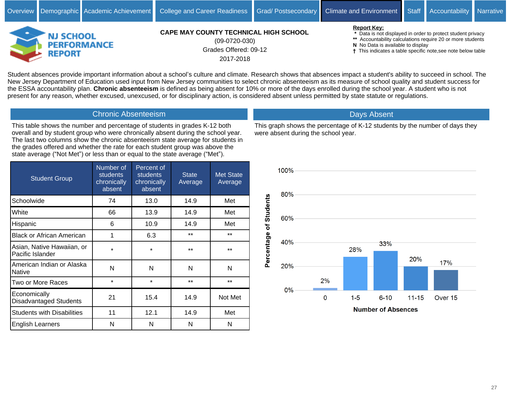

Grades Offered: 09-12 2017-2018 (09-0720-030)

**Report Key:**

 **\*** Data is not displayed in order to protect student privacy

- **\*\*** Accountability calculations require 20 or more students
- **N** No Data is available to display
- This indicates a table specific note,see note below table

Student absences provide important information about a school's culture and climate. Research shows that absences impact a student's ability to succeed in school. The New Jersey Department of Education used input from New Jersey communities to select chronic absenteeism as its measure of school quality and student success for the ESSA accountability plan. **Chronic absenteeism** is defined as being absent for 10% or more of the days enrolled during the school year. A student who is not present for any reason, whether excused, unexcused, or for disciplinary action, is considered absent unless permitted by state statute or regulations.

## Chronic Absenteeism

This table shows the number and percentage of students in grades K-12 both overall and by student group who were chronically absent during the school year. The last two columns show the chronic absenteeism state average for students in the grades offered and whether the rate for each student group was above the state average ("Not Met") or less than or equal to the state average ("Met").

| <b>Student Group</b>                           | Number of<br><b>students</b><br>chronically<br>absent | Percent of<br><b>students</b><br>chronically<br>absent | <b>State</b><br>Average | <b>Met State</b><br>Average |
|------------------------------------------------|-------------------------------------------------------|--------------------------------------------------------|-------------------------|-----------------------------|
| Schoolwide                                     | 74                                                    | 13.0                                                   | 14.9                    | Met                         |
| White                                          | 66                                                    | 13.9                                                   | 14.9                    | Met                         |
| Hispanic                                       | 6                                                     | 10.9                                                   | 14.9                    | Met                         |
| <b>Black or African American</b>               | 1                                                     | 6.3                                                    | $***$                   | $***$                       |
| Asian, Native Hawaiian, or<br>Pacific Islander | $\star$                                               | $\star$                                                | $***$                   | $***$                       |
| American Indian or Alaska<br><b>Native</b>     | N                                                     | N                                                      | N                       | N                           |
| Two or More Races                              | $\star$                                               | $\star$                                                | $***$                   | $***$                       |
| Economically<br><b>Disadvantaged Students</b>  | 21                                                    | 15.4                                                   | 14.9                    | Not Met                     |
| <b>Students with Disabilities</b>              | 11                                                    | 12.1                                                   | 14.9                    | Met                         |
| English Learners                               | N                                                     | N                                                      | N                       | N                           |



This graph shows the percentage of K-12 students by the number of days they

Days Absent

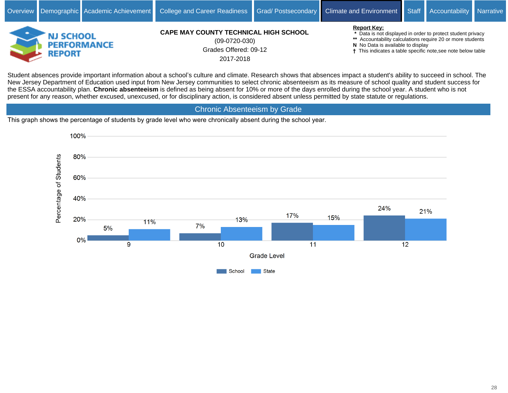

Grades Offered: 09-12 2017-2018 (09-0720-030)

**Report Key:**

 **\*** Data is not displayed in order to protect student privacy

**\*\*** Accountability calculations require 20 or more students

**N** No Data is available to display

This indicates a table specific note,see note below table

Student absences provide important information about a school's culture and climate. Research shows that absences impact a student's ability to succeed in school. The New Jersey Department of Education used input from New Jersey communities to select chronic absenteeism as its measure of school quality and student success for the ESSA accountability plan. **Chronic absenteeism** is defined as being absent for 10% or more of the days enrolled during the school year. A student who is not present for any reason, whether excused, unexcused, or for disciplinary action, is considered absent unless permitted by state statute or regulations.

Chronic Absenteeism by Grade

This graph shows the percentage of students by grade level who were chronically absent during the school year.

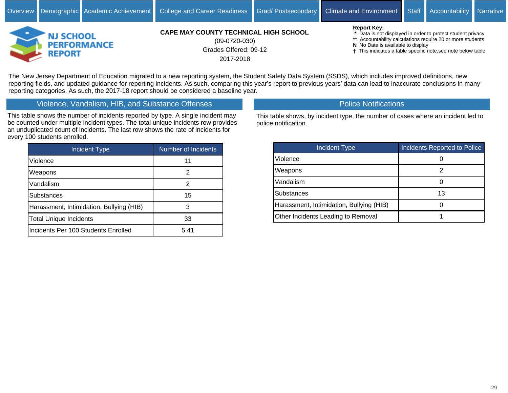

Grades Offered: 09-12 2017-2018 (09-0720-030)

#### **Report Key:**

 **\*** Data is not displayed in order to protect student privacy

- **\*\*** Accountability calculations require 20 or more students
- **N** No Data is available to display
- This indicates a table specific note,see note below table

The New Jersey Department of Education migrated to a new reporting system, the Student Safety Data System (SSDS), which includes improved definitions, new reporting fields, and updated guidance for reporting incidents. As such, comparing this year's report to previous years' data can lead to inaccurate conclusions in many reporting categories. As such, the 2017-18 report should be considered a baseline year.

# Violence, Vandalism, HIB, and Substance Offenses

This table shows the number of incidents reported by type. A single incident may be counted under multiple incident types. The total unique incidents row provides an unduplicated count of incidents. The last row shows the rate of incidents for every 100 students enrolled.

| <b>Incident Type</b>                     | <b>Number of Incidents</b> |
|------------------------------------------|----------------------------|
| Violence                                 | 11                         |
| Weapons                                  | 2                          |
| Vandalism                                | 2                          |
| Substances                               | 15                         |
| Harassment, Intimidation, Bullying (HIB) | З                          |
| <b>Total Unique Incidents</b>            | 33                         |
| Incidents Per 100 Students Enrolled      | 5.41                       |

Police Notifications

This table shows, by incident type, the number of cases where an incident led to police notification.

| Incident Type,                           | Incidents Reported to Police |
|------------------------------------------|------------------------------|
| Violence                                 |                              |
| Weapons                                  |                              |
| Vandalism                                |                              |
| <b>Substances</b>                        | 13                           |
| Harassment, Intimidation, Bullying (HIB) |                              |
| Other Incidents Leading to Removal       |                              |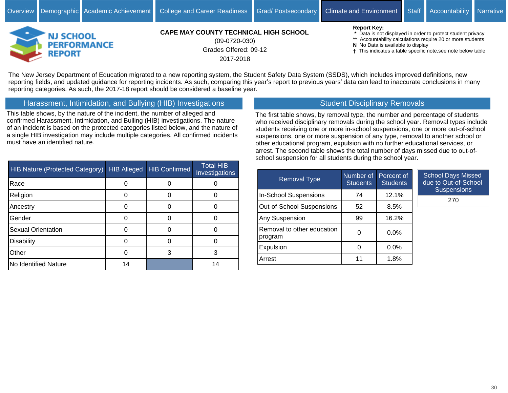



## **CAPE MAY COUNTY TECHNICAL HIGH SCHOOL**

Grades Offered: 09-12 2017-2018 (09-0720-030)

#### **Report Key:**

 **\*** Data is not displayed in order to protect student privacy

- **\*\*** Accountability calculations require 20 or more students
- **N** No Data is available to display
- This indicates a table specific note,see note below table

The New Jersey Department of Education migrated to a new reporting system, the Student Safety Data System (SSDS), which includes improved definitions, new reporting fields, and updated guidance for reporting incidents. As such, comparing this year's report to previous years' data can lead to inaccurate conclusions in many reporting categories. As such, the 2017-18 report should be considered a baseline year.

Harassment, Intimidation, and Bullying (HIB) Investigations

This table shows, by the nature of the incident, the number of alleged and confirmed Harassment, Intimidation, and Bulling (HIB) investigations. The nature of an incident is based on the protected categories listed below, and the nature of a single HIB investigation may include multiple categories. All confirmed incidents must have an identified nature.

Student Disciplinary Removals

The first table shows, by removal type, the number and percentage of students who received disciplinary removals during the school year. Removal types include students receiving one or more in-school suspensions, one or more out-of-school suspensions, one or more suspension of any type, removal to another school or other educational program, expulsion with no further educational services, or arrest. The second table shows the total number of days missed due to out-ofschool suspension for all students during the school year.

| <b>HIB Nature (Protected Category)</b> | <b>HIB Alleged</b> | <b>HIB Confirmed</b> | <b>Total HIB</b><br>Investigations |
|----------------------------------------|--------------------|----------------------|------------------------------------|
| Race                                   |                    |                      |                                    |
| Religion                               |                    |                      |                                    |
| Ancestry                               |                    |                      |                                    |
| Gender                                 |                    |                      |                                    |
| <b>Sexual Orientation</b>              |                    |                      |                                    |
| Disability                             |                    |                      |                                    |
| Other                                  |                    | 3                    |                                    |
| No Identified Nature                   | 14                 |                      | 14                                 |

| <b>Removal Type</b>                   | Number of<br><b>Students</b> | Percent of<br><b>Students</b> | <b>School Days Missed</b><br>due to Out-of-School |
|---------------------------------------|------------------------------|-------------------------------|---------------------------------------------------|
| In-School Suspensions                 | 74                           | 12.1%                         | <b>Suspensions</b>                                |
| Out-of-School Suspensions             | 52                           | 8.5%                          | 270                                               |
| Any Suspension                        | 99                           | 16.2%                         |                                                   |
| Removal to other education<br>program | 0                            | $0.0\%$                       |                                                   |
| Expulsion                             | 0                            | $0.0\%$                       |                                                   |
| Arrest                                | 11                           | 1.8%                          |                                                   |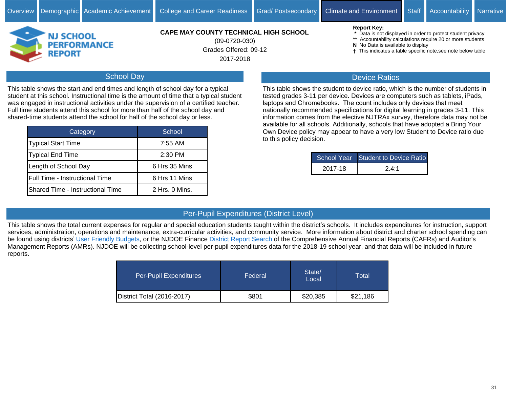

Grades Offered: 09-12 2017-2018 (09-0720-030)

#### **Report Key:**

- **\*** Data is not displayed in order to protect student privacy
- **\*\*** Accountability calculations require 20 or more students
- **N** No Data is available to display
- This indicates a table specific note,see note below table

# School Day

This table shows the start and end times and length of school day for a typical student at this school. Instructional time is the amount of time that a typical student was engaged in instructional activities under the supervision of a certified teacher. Full time students attend this school for more than half of the school day and shared-time students attend the school for half of the school day or less.

| <b>Category</b>                  | School.        |
|----------------------------------|----------------|
| Typical Start Time               | 7:55 AM        |
| Typical End Time                 | 2:30 PM        |
| Length of School Day             | 6 Hrs 35 Mins  |
| Full Time - Instructional Time   | 6 Hrs 11 Mins  |
| Shared Time - Instructional Time | 2 Hrs. 0 Mins. |

## Device Ratios

This table shows the student to device ratio, which is the number of students in tested grades 3-11 per device. Devices are computers such as tablets, iPads, laptops and Chromebooks. The count includes only devices that meet nationally recommended specifications for digital learning in grades 3-11. This information comes from the elective NJTRAx survey, therefore data may not be available for all schools. Additionally, schools that have adopted a Bring Your Own Device policy may appear to have a very low Student to Device ratio due to this policy decision.

|         | School Year Student to Device Ratio |
|---------|-------------------------------------|
| 2017-18 | 24.1                                |

# Per-Pupil Expenditures (District Level)

This table shows the total current expenses for regular and special education students taught within the district's schools. It includes expenditures for instruction, support services, administration, operations and maintenance, extra-curricular activities, and community service. More information about district and charter school spending can be found using districts' [User Friendly Budgets,](https://www.nj.gov/education/finance/fp/ufb/) or the NJDOE Finance [District Report Search](http://www.nj.gov/education/finance/fp/cafr/search) of the Comprehensive Annual Financial Reports (CAFRs) and Auditor's Management Reports (AMRs). NJDOE will be collecting school-level per-pupil expenditures data for the 2018-19 school year, and that data will be included in future reports.

| Per-Pupil Expenditures     | Federal | State/<br>Local | Total    |
|----------------------------|---------|-----------------|----------|
| District Total (2016-2017) | \$801   | \$20,385        | \$21,186 |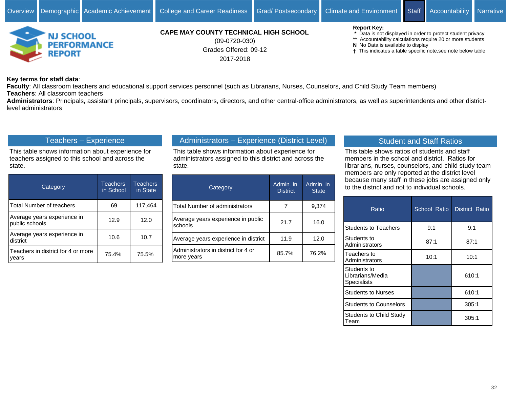

Grades Offered: 09-12 2017-2018 (09-0720-030)

#### **Report Key:**

 **\*** Data is not displayed in order to protect student privacy

- **\*\*** Accountability calculations require 20 or more students
- **N** No Data is available to display
- This indicates a table specific note,see note below table

**Key terms for staff data**:

**Faculty**: All classroom teachers and educational support services personnel (such as Librarians, Nurses, Counselors, and Child Study Team members) **Teachers**: All classroom teachers

**Administrators**: Principals, assistant principals, supervisors, coordinators, directors, and other central-office administrators, as well as superintendents and other districtlevel administrators

## Teachers - Experience

This table shows information about experience for teachers assigned to this school and across the state.

| Category                                      | <b>Teachers</b><br>in School | <b>Teachers</b><br>in State |
|-----------------------------------------------|------------------------------|-----------------------------|
| Total Number of teachers                      | 69                           | 117,464                     |
| Average years experience in<br>public schools | 12.9                         | 12.0                        |
| Average years experience in<br>district       | 10.6                         | 10.7                        |
| Teachers in district for 4 or more<br>vears   | 75.4%                        | 75.5%                       |

# Administrators - Experience (District Level)

This table shows information about experience for administrators assigned to this district and across the state.

| Category                                          | Admin. in<br><b>District</b> | Admin. in<br><b>State</b> |
|---------------------------------------------------|------------------------------|---------------------------|
| Total Number of administrators                    |                              | 9,374                     |
| Average years experience in public<br>schools     | 21.7                         | 16.0                      |
| Average years experience in district              | 11.9                         | 12.0                      |
| Administrators in district for 4 or<br>more years | 85.7%                        | 76.2%                     |

## Student and Staff Ratios

This table shows ratios of students and staff members in the school and district. Ratios for librarians, nurses, counselors, and child study team members are only reported at the district level because many staff in these jobs are assigned only to the district and not to individual schools.

| Ratio                                                    | School Ratio | District Ratio |
|----------------------------------------------------------|--------------|----------------|
| <b>Students to Teachers</b>                              | 9:1          | 9:1            |
| <b>S</b> tudents to<br>Administrators                    | 87:1         | 87:1           |
| Teachers to<br>Administrators                            | 10:1         | 10:1           |
| lStudents to<br>l Librarians/Media<br><b>Specialists</b> |              | 610:1          |
| <b>Students to Nurses</b>                                |              | 610:1          |
| <b>Students to Counselors</b>                            |              | 305:1          |
| <b>Students to Child Study</b><br>l I eam                |              | 305:1          |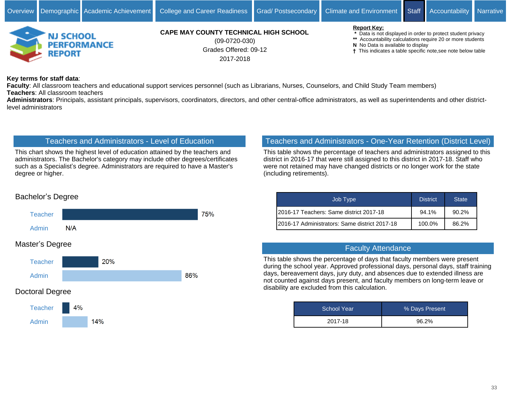

Grades Offered: 09-12 2017-2018 (09-0720-030)

#### **Report Key:**

 **\*** Data is not displayed in order to protect student privacy

- **\*\*** Accountability calculations require 20 or more students
- **N** No Data is available to display
- This indicates a table specific note,see note below table

**Key terms for staff data**:

**Faculty**: All classroom teachers and educational support services personnel (such as Librarians, Nurses, Counselors, and Child Study Team members) **Teachers**: All classroom teachers

**Administrators**: Principals, assistant principals, supervisors, coordinators, directors, and other central-office administrators, as well as superintendents and other districtlevel administrators

## Teachers and Administrators - Level of Education

This chart shows the highest level of education attained by the teachers and administrators. The Bachelor's category may include other degrees/certificates such as a Specialist's degree. Administrators are required to have a Master's degree or higher.

## Teachers and Administrators - One-Year Retention (District Level)

This table shows the percentage of teachers and administrators assigned to this district in 2016-17 that were still assigned to this district in 2017-18. Staff who were not retained may have changed districts or no longer work for the state (including retirements).

| Job Type                                       | <b>District</b> | <b>State</b> |
|------------------------------------------------|-----------------|--------------|
| I2016-17 Teachers: Same district 2017-18       | 94.1%           | 90.2%        |
| I2016-17 Administrators: Same district 2017-18 | 100.0%          | 86.2%        |

#### Faculty Attendance

This table shows the percentage of days that faculty members were present during the school year. Approved professional days, personal days, staff training days, bereavement days, jury duty, and absences due to extended illness are not counted against days present, and faculty members on long-term leave or disability are excluded from this calculation.

| <b>School Year</b> | % Days Present |
|--------------------|----------------|
| 2017-18            | 96.2%          |

# Bachelor's Degree



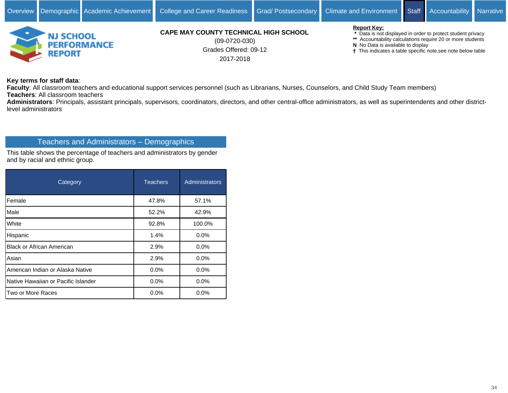

Grades Offered: 09-12 2017-2018 (09-0720-030)

#### **Report Key:**

 **\*** Data is not displayed in order to protect student privacy

- **\*\*** Accountability calculations require 20 or more students
- **N** No Data is available to display
- This indicates a table specific note,see note below table

**Key terms for staff data**:

**Faculty**: All classroom teachers and educational support services personnel (such as Librarians, Nurses, Counselors, and Child Study Team members) **Teachers**: All classroom teachers

**Administrators**: Principals, assistant principals, supervisors, coordinators, directors, and other central-office administrators, as well as superintendents and other districtlevel administrators

## Teachers and Administrators - Demographics

This table shows the percentage of teachers and administrators by gender and by racial and ethnic group.

| Category                            | <b>Teachers</b> | <b>Administrators</b> |
|-------------------------------------|-----------------|-----------------------|
| Female                              | 47.8%           | 57.1%                 |
| Male                                | 52.2%           | 42.9%                 |
| White                               | 92.8%           | 100.0%                |
| Hispanic                            | 1.4%            | 0.0%                  |
| <b>Black or African American</b>    | 2.9%            | $0.0\%$               |
| Asian                               | 2.9%            | 0.0%                  |
| American Indian or Alaska Native    | 0.0%            | 0.0%                  |
| Native Hawaiian or Pacific Islander | 0.0%            | 0.0%                  |
| Two or More Races                   | $0.0\%$         | $0.0\%$               |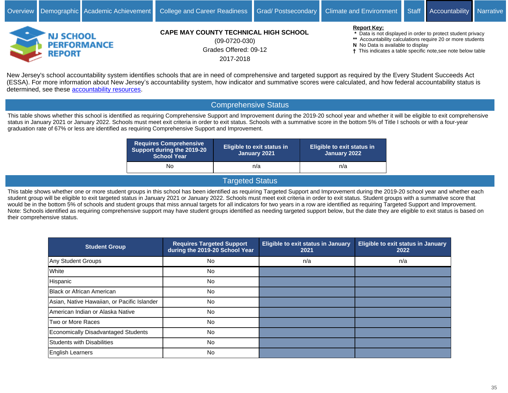

Grades Offered: 09-12 2017-2018 (09-0720-030)

#### **Report Key:**

 **\*** Data is not displayed in order to protect student privacy

- **\*\*** Accountability calculations require 20 or more students
- **N** No Data is available to display
- This indicates a table specific note,see note below table

New Jersey's school accountability system identifies schools that are in need of comprehensive and targeted support as required by the Every Student Succeeds Act (ESSA). For more information about New Jersey's accountability system, how indicator and summative scores were calculated, and how federal accountability status is determined, see these [accountability resources.](https://www.state.nj.us/education/title1/accountability/progress/18/)

## Comprehensive Status

This table shows whether this school is identified as requiring Comprehensive Support and Improvement during the 2019-20 school year and whether it will be eligible to exit comprehensive status in January 2021 or January 2022. Schools must meet exit criteria in order to exit status. Schools with a summative score in the bottom 5% of Title I schools or with a four-year graduation rate of 67% or less are identified as requiring Comprehensive Support and Improvement.

| <b>Requires Comprehensive</b><br>Support during the 2019-20<br><b>School Year</b> | <b>Eligible to exit status in</b><br>January 2021 | <b>Eligible to exit status in</b><br>January 2022 |
|-----------------------------------------------------------------------------------|---------------------------------------------------|---------------------------------------------------|
| No                                                                                | n/a                                               | n/a                                               |

## Targeted Status

This table shows whether one or more student groups in this school has been identified as requiring Targeted Support and Improvement during the 2019-20 school year and whether each student group will be eligible to exit targeted status in January 2021 or January 2022. Schools must meet exit criteria in order to exit status. Student groups with a summative score that would be in the bottom 5% of schools and student groups that miss annual targets for all indicators for two years in a row are identified as requiring Targeted Support and Improvement. Note: Schools identified as requiring comprehensive support may have student groups identified as needing targeted support below, but the date they are eligible to exit status is based on their comprehensive status.

| <b>Student Group</b>                        | <b>Requires Targeted Support</b><br>during the 2019-20 School Year | <b>Eligible to exit status in January</b><br>2021 | <b>Eligible to exit status in January</b><br>2022 |
|---------------------------------------------|--------------------------------------------------------------------|---------------------------------------------------|---------------------------------------------------|
| Any Student Groups                          | <b>No</b>                                                          | n/a                                               | n/a                                               |
| White                                       | No.                                                                |                                                   |                                                   |
| Hispanic                                    | No.                                                                |                                                   |                                                   |
| Black or African American                   | No.                                                                |                                                   |                                                   |
| Asian, Native Hawaiian, or Pacific Islander | <b>No</b>                                                          |                                                   |                                                   |
| American Indian or Alaska Native            | No.                                                                |                                                   |                                                   |
| Two or More Races                           | No.                                                                |                                                   |                                                   |
| Economically Disadvantaged Students         | No.                                                                |                                                   |                                                   |
| Students with Disabilities                  | <b>No</b>                                                          |                                                   |                                                   |
| English Learners                            | <b>No</b>                                                          |                                                   |                                                   |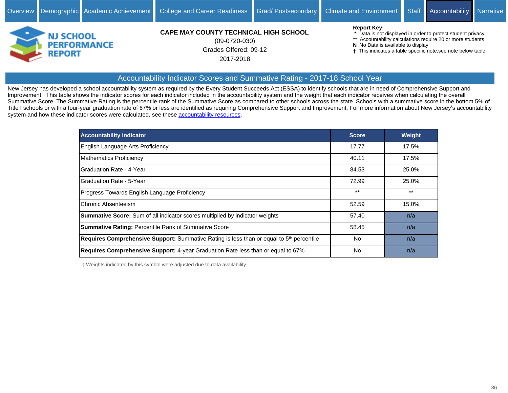

Grades Offered: 09-12 2017-2018 (09-0720-030)

#### **Report Key:**

 **\*** Data is not displayed in order to protect student privacy

- **\*\*** Accountability calculations require 20 or more students
- **N** No Data is available to display

This indicates a table specific note,see note below table

# Accountability Indicator Scores and Summative Rating - 2017-18 School Year

New Jersey has developed a school accountability system as required by the Every Student Succeeds Act (ESSA) to identify schools that are in need of Comprehensive Support and Improvement. This table shows the indicator scores for each indicator included in the accountability system and the weight that each indicator receives when calculating the overall Summative Score. The Summative Rating is the percentile rank of the Summative Score as compared to other schools across the state. Schools with a summative score in the bottom 5% of Title I schools or with a four-year graduation rate of 67% or less are identified as requiring Comprehensive Support and Improvement. For more information about New Jersey's accountability system and how these indicator scores were calculated, see these [accountability resources](https://www.state.nj.us/education/title1/accountability/progress/18/).

| <b>Accountability Indicator</b>                                                          | <b>Score</b> | Weight |
|------------------------------------------------------------------------------------------|--------------|--------|
| English Language Arts Proficiency                                                        | 17.77        | 17.5%  |
| Mathematics Proficiency                                                                  | 40.11        | 17.5%  |
| Graduation Rate - 4-Year                                                                 | 84.53        | 25.0%  |
| Graduation Rate - 5-Year                                                                 | 72.99        | 25.0%  |
| Progress Towards English Language Proficiency                                            | $***$        | $***$  |
| Chronic Absenteeism                                                                      | 52.59        | 15.0%  |
| <b>Summative Score:</b> Sum of all indicator scores multiplied by indicator weights      | 57.40        | n/a    |
| <b>Summative Rating: Percentile Rank of Summative Score</b>                              | 58.45        | n/a    |
| Requires Comprehensive Support: Summative Rating is less than or equal to 5th percentile | No.          | n/a    |
| Requires Comprehensive Support: 4-year Graduation Rate less than or equal to 67%         | <b>No</b>    | n/a    |

Weights indicated by this symbol were adjusted due to data availability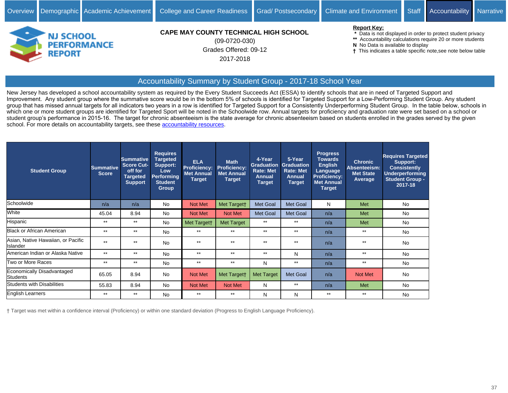

Grades Offered: 09-12 2017-2018 (09-0720-030)

#### **Report Key:**

 **\*** Data is not displayed in order to protect student privacy

- **\*\*** Accountability calculations require 20 or more students
- **N** No Data is available to display
- This indicates a table specific note,see note below table

# Accountability Summary by Student Group - 2017-18 School Year

New Jersey has developed a school accountability system as required by the Every Student Succeeds Act (ESSA) to identify schools that are in need of Targeted Support and Improvement. Any student group where the summative score would be in the bottom 5% of schools is identified for Targeted Support for a Low-Performing Student Group. Any student group that has missed annual targets for all indicators two years in a row is identified for Targeted Support for a Consistently Underperforming Student Group. In the table below, schools in which one or more student groups are identified for Targeted Sport will be noted in the Schoolwide row. Annual targets for proficiency and graduation rate were set based on a school or student group's performance in 2015-16. The target for chronic absenteeism is the state average for chronic absenteeism based on students enrolled in the grades served by the given school. For more details on accountability targets, see these [accountability resources](https://www.state.nj.us/education/title1/accountability/progress/18/).

| <b>Student Group</b>                           | <b>Summative</b><br><b>Score</b> | <b>Summative</b><br><b>Score Cut-</b><br>off for<br><b>Targeted</b><br><b>Support</b> | <b>Requires</b><br><b>Targeted</b><br>Support:<br><b>Low</b><br><b>Performing</b><br><b>Student</b><br><b>Group</b> | <b>ELA</b><br><b>Proficiency:</b><br><b>Met Annual</b><br><b>Target</b> | <b>Math</b><br><b>Proficiency:</b><br><b>Met Annual</b><br>Target | 4-Year<br><b>Graduation</b><br><b>Rate: Met</b><br>Annual<br><b>Target</b> | 5-Year<br><b>Graduation</b><br><b>Rate: Met</b><br><b>Annual</b><br><b>Target</b> | <b>Progress</b><br><b>Towards</b><br><b>English</b><br>Language<br><b>Proficiency:</b><br><b>Met Annual</b><br><b>Target</b> | <b>Chronic</b><br>Absenteeism:<br><b>Met State</b><br>Average | <b>Requires Targeted</b><br>Support:<br><b>Consistently</b><br>Underperforming<br><b>Student Group -</b><br>2017-18 |
|------------------------------------------------|----------------------------------|---------------------------------------------------------------------------------------|---------------------------------------------------------------------------------------------------------------------|-------------------------------------------------------------------------|-------------------------------------------------------------------|----------------------------------------------------------------------------|-----------------------------------------------------------------------------------|------------------------------------------------------------------------------------------------------------------------------|---------------------------------------------------------------|---------------------------------------------------------------------------------------------------------------------|
| Schoolwide                                     | n/a                              | n/a                                                                                   | No                                                                                                                  | Not Met                                                                 | Met Targett                                                       | Met Goal                                                                   | Met Goal                                                                          | N                                                                                                                            | Met                                                           | <b>No</b>                                                                                                           |
| White                                          | 45.04                            | 8.94                                                                                  | <b>No</b>                                                                                                           | Not Met                                                                 | Not Met                                                           | Met Goal                                                                   | Met Goal                                                                          | n/a                                                                                                                          | Met                                                           | <b>No</b>                                                                                                           |
| Hispanic                                       | $***$                            | $***$                                                                                 | No                                                                                                                  | Met Targett                                                             | <b>Met Target</b>                                                 | $***$                                                                      | $***$                                                                             | n/a                                                                                                                          | Met                                                           | <b>No</b>                                                                                                           |
| <b>Black or African American</b>               | $***$                            | $***$                                                                                 | No                                                                                                                  | $***$                                                                   | $***$                                                             | $***$                                                                      | $***$                                                                             | n/a                                                                                                                          | $***$                                                         | <b>No</b>                                                                                                           |
| Asian, Native Hawaiian, or Pacific<br>Islander | $***$                            | $***$                                                                                 | <b>No</b>                                                                                                           | $***$                                                                   | $**$                                                              | $***$                                                                      | $***$                                                                             | n/a                                                                                                                          | $***$                                                         | <b>No</b>                                                                                                           |
| American Indian or Alaska Native               | $***$                            | $**$                                                                                  | No                                                                                                                  | $***$                                                                   | $***$                                                             | $***$                                                                      | N                                                                                 | n/a                                                                                                                          | $***$                                                         | <b>No</b>                                                                                                           |
| Two or More Races                              | $***$                            | $***$                                                                                 | No                                                                                                                  | $***$                                                                   | $***$                                                             | N                                                                          | $***$                                                                             | n/a                                                                                                                          | $**$                                                          | <b>No</b>                                                                                                           |
| Economically Disadvantaged<br>Students         | 65.05                            | 8.94                                                                                  | <b>No</b>                                                                                                           | Not Met                                                                 | Met Targett                                                       | <b>Met Target</b>                                                          | <b>Met Goal</b>                                                                   | n/a                                                                                                                          | <b>Not Met</b>                                                | <b>No</b>                                                                                                           |
| <b>Students with Disabilities</b>              | 55.83                            | 8.94                                                                                  | <b>No</b>                                                                                                           | Not Met                                                                 | Not Met                                                           | N                                                                          | $***$                                                                             | n/a                                                                                                                          | Met                                                           | <b>No</b>                                                                                                           |
| <b>English Learners</b>                        | $***$                            | $***$                                                                                 | No                                                                                                                  | $***$                                                                   | $***$                                                             | N                                                                          | N                                                                                 | $***$                                                                                                                        | $***$                                                         | <b>No</b>                                                                                                           |

Target was met within a confidence interval (Proficiency) or within one standard deviation (Progress to English Language Proficiency).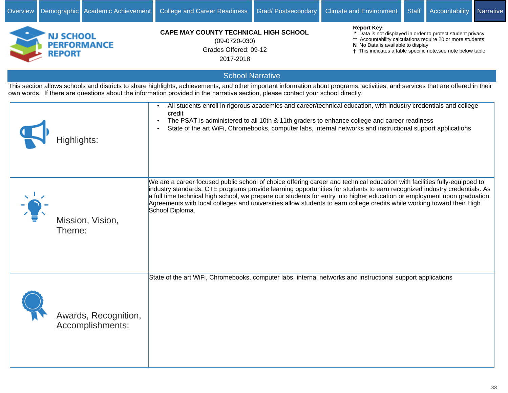

Overview Demographic Academic Achievement College and Career Readiness Grad/ Postsecondary Climate and Environment Staff Accountability Narrative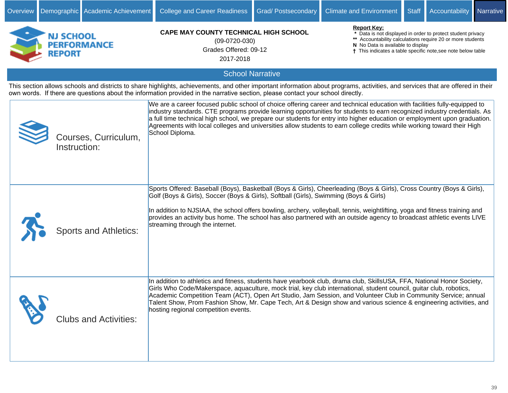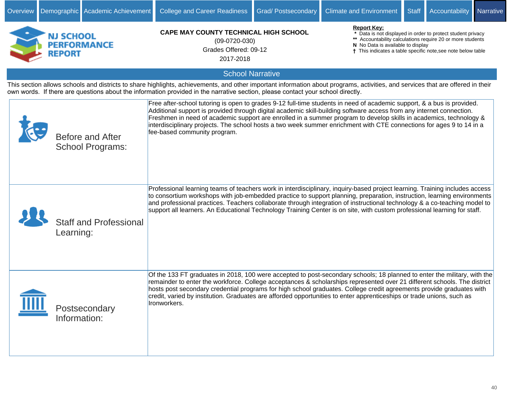| NJ SCHOOL<br><b>PERFORMANCE</b><br><b>REPORT</b>                                                                                                                                                                                                                                                                   | <b>CAPE MAY COUNTY TECHNICAL HIGH SCHOOL</b><br>$(09-0720-030)$<br>Grades Offered: 09-12<br>2017-2018                                                                                                                                                                                                                                                                                                                                                                                                                        | <b>Report Key:</b><br>* Data is not displayed in order to protect student privacy<br>** Accountability calculations require 20 or more students<br>N No Data is available to display<br>† This indicates a table specific note, see note below table |  |  |  |  |
|--------------------------------------------------------------------------------------------------------------------------------------------------------------------------------------------------------------------------------------------------------------------------------------------------------------------|------------------------------------------------------------------------------------------------------------------------------------------------------------------------------------------------------------------------------------------------------------------------------------------------------------------------------------------------------------------------------------------------------------------------------------------------------------------------------------------------------------------------------|------------------------------------------------------------------------------------------------------------------------------------------------------------------------------------------------------------------------------------------------------|--|--|--|--|
|                                                                                                                                                                                                                                                                                                                    | <b>School Narrative</b>                                                                                                                                                                                                                                                                                                                                                                                                                                                                                                      |                                                                                                                                                                                                                                                      |  |  |  |  |
| This section allows schools and districts to share highlights, achievements, and other important information about programs, activities, and services that are offered in their<br>own words. If there are questions about the information provided in the narrative section, please contact your school directly. |                                                                                                                                                                                                                                                                                                                                                                                                                                                                                                                              |                                                                                                                                                                                                                                                      |  |  |  |  |
| <b>Before and After</b><br><b>School Programs:</b>                                                                                                                                                                                                                                                                 | Free after-school tutoring is open to grades 9-12 full-time students in need of academic support, & a bus is provided.<br>Additional support is provided through digital academic skill-building software access from any internet connection.<br>Freshmen in need of academic support are enrolled in a summer program to develop skills in academics, technology &<br>interdisciplinary projects. The school hosts a two week summer enrichment with CTE connections for ages 9 to 14 in a<br>fee-based community program. |                                                                                                                                                                                                                                                      |  |  |  |  |
| <b>Staff and Professional</b><br>Learning:                                                                                                                                                                                                                                                                         | Professional learning teams of teachers work in interdisciplinary, inquiry-based project learning. Training includes access<br>to consortium workshops with job-embedded practice to support planning, preparation, instruction, learning environments<br>and professional practices. Teachers collaborate through integration of instructional technology & a co-teaching model to<br>support all learners. An Educational Technology Training Center is on site, with custom professional learning for staff.              |                                                                                                                                                                                                                                                      |  |  |  |  |
| Postsecondary<br>Information:                                                                                                                                                                                                                                                                                      | Of the 133 FT graduates in 2018, 100 were accepted to post-secondary schools; 18 planned to enter the military, with the<br>remainder to enter the workforce. College acceptances & scholarships represented over 21 different schools. The district<br>hosts post secondary credential programs for high school graduates. College credit agreements provide graduates with<br>credit, varied by institution. Graduates are afforded opportunities to enter apprenticeships or trade unions, such as<br>Ironworkers.        |                                                                                                                                                                                                                                                      |  |  |  |  |

Overview Demographic Academic Achievement College and Career Readiness Grad/ Postsecondary Climate and Environment Staff Accountability Narrative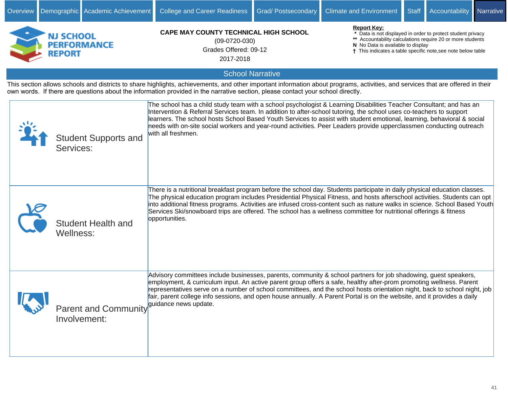| NJ SCHOOL<br><b>PERFORMANCE</b><br><b>REPORT</b>                                                                                                                                                                                                                                                                   | <b>CAPE MAY COUNTY TECHNICAL HIGH SCHOOL</b><br>$(09-0720-030)$<br>Grades Offered: 09-12<br>2017-2018                                                                                                                                                                                                                                                                                                                                                                                                                       | <b>Report Kev:</b><br>* Data is not displayed in order to protect student privacy<br>** Accountability calculations require 20 or more students<br>N No Data is available to display<br>† This indicates a table specific note, see note below table |  |  |  |  |
|--------------------------------------------------------------------------------------------------------------------------------------------------------------------------------------------------------------------------------------------------------------------------------------------------------------------|-----------------------------------------------------------------------------------------------------------------------------------------------------------------------------------------------------------------------------------------------------------------------------------------------------------------------------------------------------------------------------------------------------------------------------------------------------------------------------------------------------------------------------|------------------------------------------------------------------------------------------------------------------------------------------------------------------------------------------------------------------------------------------------------|--|--|--|--|
|                                                                                                                                                                                                                                                                                                                    | <b>School Narrative</b>                                                                                                                                                                                                                                                                                                                                                                                                                                                                                                     |                                                                                                                                                                                                                                                      |  |  |  |  |
| This section allows schools and districts to share highlights, achievements, and other important information about programs, activities, and services that are offered in their<br>own words. If there are questions about the information provided in the narrative section, please contact your school directly. |                                                                                                                                                                                                                                                                                                                                                                                                                                                                                                                             |                                                                                                                                                                                                                                                      |  |  |  |  |
| <b>Student Supports and</b><br>Services:                                                                                                                                                                                                                                                                           | The school has a child study team with a school psychologist & Learning Disabilities Teacher Consultant; and has an<br>Intervention & Referral Services team. In addition to after-school tutoring, the school uses co-teachers to support<br>learners. The school hosts School Based Youth Services to assist with student emotional, learning, behavioral & social<br>needs with on-site social workers and year-round activities. Peer Leaders provide upperclassmen conducting outreach<br>with all freshmen.           |                                                                                                                                                                                                                                                      |  |  |  |  |
| <b>Student Health and</b><br>Wellness:                                                                                                                                                                                                                                                                             | There is a nutritional breakfast program before the school day. Students participate in daily physical education classes.<br>The physical education program includes Presidential Physical Fitness, and hosts afterschool activities. Students can opt<br>into additional fitness programs. Activities are infused cross-content such as nature walks in science. School Based Youth<br>Services Ski/snowboard trips are offered. The school has a wellness committee for nutritional offerings & fitness<br>opportunities. |                                                                                                                                                                                                                                                      |  |  |  |  |
| Parent and Community guidance news update.<br>Involvement:                                                                                                                                                                                                                                                         | Advisory committees include businesses, parents, community & school partners for job shadowing, guest speakers,<br>employment, & curriculum input. An active parent group offers a safe, healthy after-prom promoting wellness. Parent<br>representatives serve on a number of school committees, and the school hosts orientation night, back to school night, job<br>fair, parent college info sessions, and open house annually. A Parent Portal is on the website, and it provides a daily                              |                                                                                                                                                                                                                                                      |  |  |  |  |

Overview Demographic Academic Achievement College and Career Readiness Grad/ Postsecondary Climate and Environment Staff Accountability Narrative